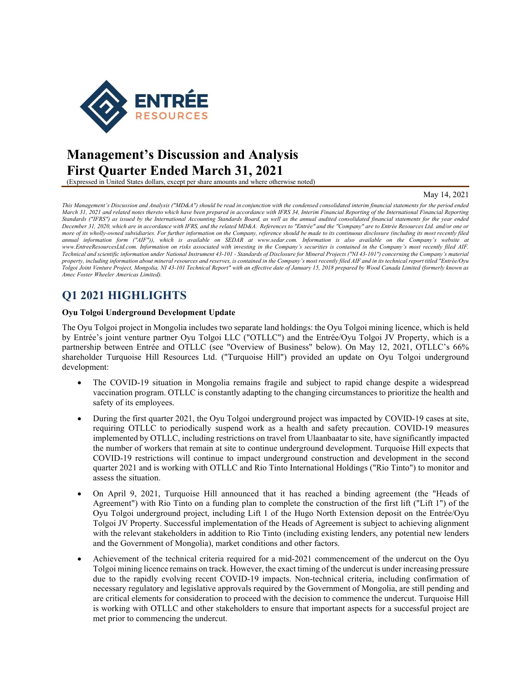

# Management's Discussion and Analysis First Quarter Ended March 31, 2021

(Expressed in United States dollars, except per share amounts and where otherwise noted)

#### May 14, 2021

This Management's Discussion and Analysis ("MD&A") should be read in conjunction with the condensed consolidated interim financial statements for the period ended March 31, 2021 and related notes thereto which have been prepared in accordance with IFRS 34, Interim Financial Reporting of the International Financial Reporting Standards ("IFRS") as issued by the International Accounting Standards Board, as well as the annual audited consolidated financial statements for the year ended December 31, 2020, which are in accordance with IFRS, and the related MD&A. References to "Entrée" and the "Company" are to Entrée Resources Ltd. and/or one or more of its wholly-owned subsidiaries. For further information on the Company, reference should be made to its continuous disclosure (including its most recently filed annual information form ("AIF")), which is available on SEDAR at www.sedar.com. Information is also available on the Company's website at www.EntreeResourcesLtd.com. Information on risks associated with investing in the Company's securities is contained in the Company's most recently filed AIF. Technical and scientific information under National Instrument 43-101 - Standards of Disclosure for Mineral Projects ("NI 43-101") concerning the Company's material property, including information about mineral resources and reserves, is contained in the Company's most recently filed AIF and in its technical report titled "Entrée/Oyu Tolgoi Joint Venture Project, Mongolia, NI 43-101 Technical Report" with an effective date of January 15, 2018 prepared by Wood Canada Limited (formerly known as Amec Foster Wheeler Americas Limited).

# Q1 2021 HIGHLIGHTS

#### Oyu Tolgoi Underground Development Update

The Oyu Tolgoi project in Mongolia includes two separate land holdings: the Oyu Tolgoi mining licence, which is held by Entrée's joint venture partner Oyu Tolgoi LLC ("OTLLC") and the Entrée/Oyu Tolgoi JV Property, which is a partnership between Entrée and OTLLC (see "Overview of Business" below). On May 12, 2021, OTLLC's 66% shareholder Turquoise Hill Resources Ltd. ("Turquoise Hill") provided an update on Oyu Tolgoi underground development:

- The COVID-19 situation in Mongolia remains fragile and subject to rapid change despite a widespread vaccination program. OTLLC is constantly adapting to the changing circumstances to prioritize the health and safety of its employees.
- During the first quarter 2021, the Oyu Tolgoi underground project was impacted by COVID-19 cases at site, requiring OTLLC to periodically suspend work as a health and safety precaution. COVID-19 measures implemented by OTLLC, including restrictions on travel from Ulaanbaatar to site, have significantly impacted the number of workers that remain at site to continue underground development. Turquoise Hill expects that COVID-19 restrictions will continue to impact underground construction and development in the second quarter 2021 and is working with OTLLC and Rio Tinto International Holdings ("Rio Tinto") to monitor and assess the situation.
- On April 9, 2021, Turquoise Hill announced that it has reached a binding agreement (the "Heads of Agreement") with Rio Tinto on a funding plan to complete the construction of the first lift ("Lift 1") of the Oyu Tolgoi underground project, including Lift 1 of the Hugo North Extension deposit on the Entrée/Oyu Tolgoi JV Property. Successful implementation of the Heads of Agreement is subject to achieving alignment with the relevant stakeholders in addition to Rio Tinto (including existing lenders, any potential new lenders and the Government of Mongolia), market conditions and other factors.
- Achievement of the technical criteria required for a mid-2021 commencement of the undercut on the Oyu Tolgoi mining licence remains on track. However, the exact timing of the undercut is under increasing pressure due to the rapidly evolving recent COVID-19 impacts. Non-technical criteria, including confirmation of necessary regulatory and legislative approvals required by the Government of Mongolia, are still pending and are critical elements for consideration to proceed with the decision to commence the undercut. Turquoise Hill is working with OTLLC and other stakeholders to ensure that important aspects for a successful project are met prior to commencing the undercut.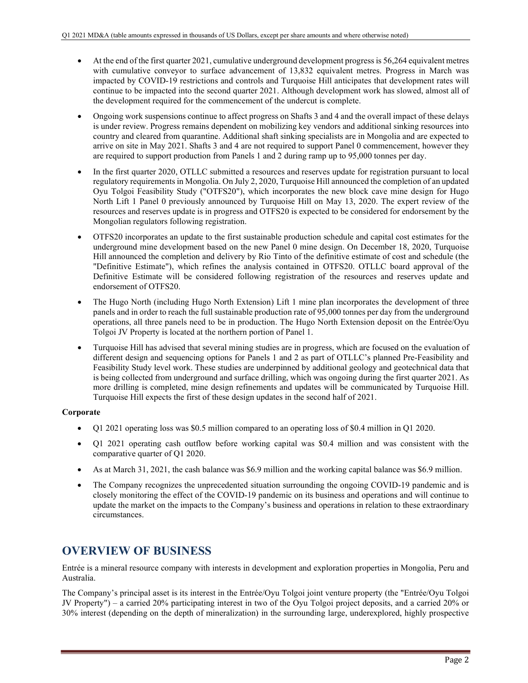- At the end of the first quarter 2021, cumulative underground development progress is 56,264 equivalent metres with cumulative conveyor to surface advancement of 13,832 equivalent metres. Progress in March was impacted by COVID-19 restrictions and controls and Turquoise Hill anticipates that development rates will continue to be impacted into the second quarter 2021. Although development work has slowed, almost all of the development required for the commencement of the undercut is complete.
- Ongoing work suspensions continue to affect progress on Shafts 3 and 4 and the overall impact of these delays is under review. Progress remains dependent on mobilizing key vendors and additional sinking resources into country and cleared from quarantine. Additional shaft sinking specialists are in Mongolia and are expected to arrive on site in May 2021. Shafts 3 and 4 are not required to support Panel 0 commencement, however they are required to support production from Panels 1 and 2 during ramp up to 95,000 tonnes per day.
- In the first quarter 2020, OTLLC submitted a resources and reserves update for registration pursuant to local regulatory requirements in Mongolia. On July 2, 2020, Turquoise Hill announced the completion of an updated Oyu Tolgoi Feasibility Study ("OTFS20"), which incorporates the new block cave mine design for Hugo North Lift 1 Panel 0 previously announced by Turquoise Hill on May 13, 2020. The expert review of the resources and reserves update is in progress and OTFS20 is expected to be considered for endorsement by the Mongolian regulators following registration.
- OTFS20 incorporates an update to the first sustainable production schedule and capital cost estimates for the underground mine development based on the new Panel 0 mine design. On December 18, 2020, Turquoise Hill announced the completion and delivery by Rio Tinto of the definitive estimate of cost and schedule (the "Definitive Estimate"), which refines the analysis contained in OTFS20. OTLLC board approval of the Definitive Estimate will be considered following registration of the resources and reserves update and endorsement of OTFS20.
- The Hugo North (including Hugo North Extension) Lift 1 mine plan incorporates the development of three panels and in order to reach the full sustainable production rate of 95,000 tonnes per day from the underground operations, all three panels need to be in production. The Hugo North Extension deposit on the Entrée/Oyu Tolgoi JV Property is located at the northern portion of Panel 1.
- Turquoise Hill has advised that several mining studies are in progress, which are focused on the evaluation of different design and sequencing options for Panels 1 and 2 as part of OTLLC's planned Pre-Feasibility and Feasibility Study level work. These studies are underpinned by additional geology and geotechnical data that is being collected from underground and surface drilling, which was ongoing during the first quarter 2021. As more drilling is completed, mine design refinements and updates will be communicated by Turquoise Hill. Turquoise Hill expects the first of these design updates in the second half of 2021.

## Corporate

- Q1 2021 operating loss was \$0.5 million compared to an operating loss of \$0.4 million in Q1 2020.
- Q1 2021 operating cash outflow before working capital was \$0.4 million and was consistent with the comparative quarter of Q1 2020.
- As at March 31, 2021, the cash balance was \$6.9 million and the working capital balance was \$6.9 million.
- The Company recognizes the unprecedented situation surrounding the ongoing COVID-19 pandemic and is closely monitoring the effect of the COVID-19 pandemic on its business and operations and will continue to update the market on the impacts to the Company's business and operations in relation to these extraordinary circumstances.

# OVERVIEW OF BUSINESS

Entrée is a mineral resource company with interests in development and exploration properties in Mongolia, Peru and Australia.

The Company's principal asset is its interest in the Entrée/Oyu Tolgoi joint venture property (the "Entrée/Oyu Tolgoi JV Property") – a carried 20% participating interest in two of the Oyu Tolgoi project deposits, and a carried 20% or 30% interest (depending on the depth of mineralization) in the surrounding large, underexplored, highly prospective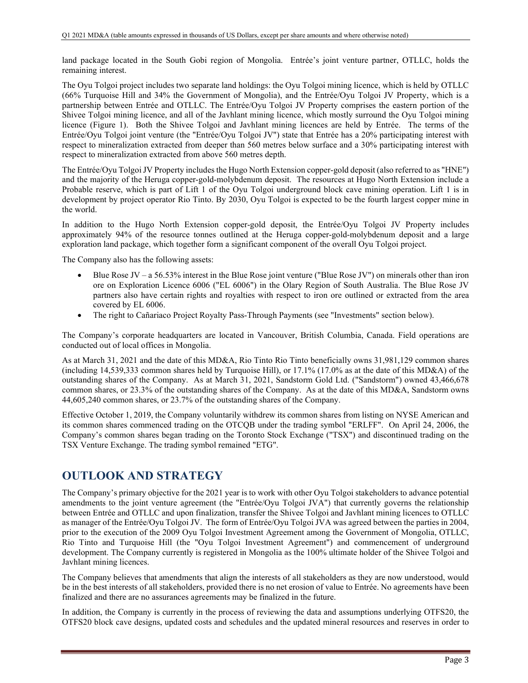land package located in the South Gobi region of Mongolia. Entrée's joint venture partner, OTLLC, holds the remaining interest.

The Oyu Tolgoi project includes two separate land holdings: the Oyu Tolgoi mining licence, which is held by OTLLC (66% Turquoise Hill and 34% the Government of Mongolia), and the Entrée/Oyu Tolgoi JV Property, which is a partnership between Entrée and OTLLC. The Entrée/Oyu Tolgoi JV Property comprises the eastern portion of the Shivee Tolgoi mining licence, and all of the Javhlant mining licence, which mostly surround the Oyu Tolgoi mining licence (Figure 1). Both the Shivee Tolgoi and Javhlant mining licences are held by Entrée. The terms of the Entrée/Oyu Tolgoi joint venture (the "Entrée/Oyu Tolgoi JV") state that Entrée has a 20% participating interest with respect to mineralization extracted from deeper than 560 metres below surface and a 30% participating interest with respect to mineralization extracted from above 560 metres depth.

The Entrée/Oyu Tolgoi JV Property includes the Hugo North Extension copper-gold deposit (also referred to as "HNE") and the majority of the Heruga copper-gold-molybdenum deposit. The resources at Hugo North Extension include a Probable reserve, which is part of Lift 1 of the Oyu Tolgoi underground block cave mining operation. Lift 1 is in development by project operator Rio Tinto. By 2030, Oyu Tolgoi is expected to be the fourth largest copper mine in the world.

In addition to the Hugo North Extension copper-gold deposit, the Entrée/Oyu Tolgoi JV Property includes approximately 94% of the resource tonnes outlined at the Heruga copper-gold-molybdenum deposit and a large exploration land package, which together form a significant component of the overall Oyu Tolgoi project.

The Company also has the following assets:

- Blue Rose JV a 56.53% interest in the Blue Rose joint venture ("Blue Rose JV") on minerals other than iron ore on Exploration Licence 6006 ("EL 6006") in the Olary Region of South Australia. The Blue Rose JV partners also have certain rights and royalties with respect to iron ore outlined or extracted from the area covered by EL 6006.
- The right to Cañariaco Project Royalty Pass-Through Payments (see "Investments" section below).

The Company's corporate headquarters are located in Vancouver, British Columbia, Canada. Field operations are conducted out of local offices in Mongolia.

As at March 31, 2021 and the date of this MD&A, Rio Tinto Rio Tinto beneficially owns 31,981,129 common shares (including 14,539,333 common shares held by Turquoise Hill), or 17.1% (17.0% as at the date of this MD&A) of the outstanding shares of the Company. As at March 31, 2021, Sandstorm Gold Ltd. ("Sandstorm") owned 43,466,678 common shares, or 23.3% of the outstanding shares of the Company. As at the date of this MD&A, Sandstorm owns 44,605,240 common shares, or 23.7% of the outstanding shares of the Company.

Effective October 1, 2019, the Company voluntarily withdrew its common shares from listing on NYSE American and its common shares commenced trading on the OTCQB under the trading symbol "ERLFF". On April 24, 2006, the Company's common shares began trading on the Toronto Stock Exchange ("TSX") and discontinued trading on the TSX Venture Exchange. The trading symbol remained "ETG".

# OUTLOOK AND STRATEGY

The Company's primary objective for the 2021 year is to work with other Oyu Tolgoi stakeholders to advance potential amendments to the joint venture agreement (the "Entrée/Oyu Tolgoi JVA") that currently governs the relationship between Entrée and OTLLC and upon finalization, transfer the Shivee Tolgoi and Javhlant mining licences to OTLLC as manager of the Entrée/Oyu Tolgoi JV. The form of Entrée/Oyu Tolgoi JVA was agreed between the parties in 2004, prior to the execution of the 2009 Oyu Tolgoi Investment Agreement among the Government of Mongolia, OTLLC, Rio Tinto and Turquoise Hill (the "Oyu Tolgoi Investment Agreement") and commencement of underground development. The Company currently is registered in Mongolia as the 100% ultimate holder of the Shivee Tolgoi and Javhlant mining licences.

The Company believes that amendments that align the interests of all stakeholders as they are now understood, would be in the best interests of all stakeholders, provided there is no net erosion of value to Entrée. No agreements have been finalized and there are no assurances agreements may be finalized in the future.

In addition, the Company is currently in the process of reviewing the data and assumptions underlying OTFS20, the OTFS20 block cave designs, updated costs and schedules and the updated mineral resources and reserves in order to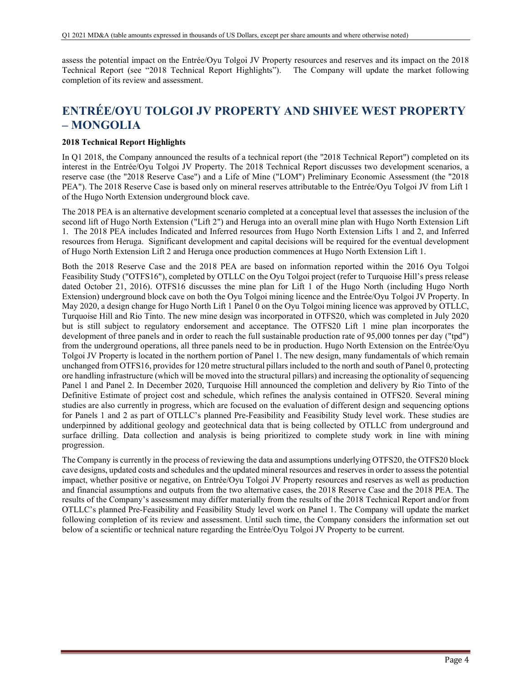assess the potential impact on the Entrée/Oyu Tolgoi JV Property resources and reserves and its impact on the 2018 Technical Report (see "2018 Technical Report Highlights"). The Company will update the market following completion of its review and assessment.

# ENTRÉE/OYU TOLGOI JV PROPERTY AND SHIVEE WEST PROPERTY – MONGOLIA

## 2018 Technical Report Highlights

In Q1 2018, the Company announced the results of a technical report (the "2018 Technical Report") completed on its interest in the Entrée/Oyu Tolgoi JV Property. The 2018 Technical Report discusses two development scenarios, a reserve case (the "2018 Reserve Case") and a Life of Mine ("LOM") Preliminary Economic Assessment (the "2018 PEA"). The 2018 Reserve Case is based only on mineral reserves attributable to the Entrée/Oyu Tolgoi JV from Lift 1 of the Hugo North Extension underground block cave.

The 2018 PEA is an alternative development scenario completed at a conceptual level that assesses the inclusion of the second lift of Hugo North Extension ("Lift 2") and Heruga into an overall mine plan with Hugo North Extension Lift 1. The 2018 PEA includes Indicated and Inferred resources from Hugo North Extension Lifts 1 and 2, and Inferred resources from Heruga. Significant development and capital decisions will be required for the eventual development of Hugo North Extension Lift 2 and Heruga once production commences at Hugo North Extension Lift 1.

Both the 2018 Reserve Case and the 2018 PEA are based on information reported within the 2016 Oyu Tolgoi Feasibility Study ("OTFS16"), completed by OTLLC on the Oyu Tolgoi project (refer to Turquoise Hill's press release dated October 21, 2016). OTFS16 discusses the mine plan for Lift 1 of the Hugo North (including Hugo North Extension) underground block cave on both the Oyu Tolgoi mining licence and the Entrée/Oyu Tolgoi JV Property. In May 2020, a design change for Hugo North Lift 1 Panel 0 on the Oyu Tolgoi mining licence was approved by OTLLC, Turquoise Hill and Rio Tinto. The new mine design was incorporated in OTFS20, which was completed in July 2020 but is still subject to regulatory endorsement and acceptance. The OTFS20 Lift 1 mine plan incorporates the development of three panels and in order to reach the full sustainable production rate of 95,000 tonnes per day ("tpd") from the underground operations, all three panels need to be in production. Hugo North Extension on the Entrée/Oyu Tolgoi JV Property is located in the northern portion of Panel 1. The new design, many fundamentals of which remain unchanged from OTFS16, provides for 120 metre structural pillars included to the north and south of Panel 0, protecting ore handling infrastructure (which will be moved into the structural pillars) and increasing the optionality of sequencing Panel 1 and Panel 2. In December 2020, Turquoise Hill announced the completion and delivery by Rio Tinto of the Definitive Estimate of project cost and schedule, which refines the analysis contained in OTFS20. Several mining studies are also currently in progress, which are focused on the evaluation of different design and sequencing options for Panels 1 and 2 as part of OTLLC's planned Pre-Feasibility and Feasibility Study level work. These studies are underpinned by additional geology and geotechnical data that is being collected by OTLLC from underground and surface drilling. Data collection and analysis is being prioritized to complete study work in line with mining progression.

The Company is currently in the process of reviewing the data and assumptions underlying OTFS20, the OTFS20 block cave designs, updated costs and schedules and the updated mineral resources and reserves in order to assess the potential impact, whether positive or negative, on Entrée/Oyu Tolgoi JV Property resources and reserves as well as production and financial assumptions and outputs from the two alternative cases, the 2018 Reserve Case and the 2018 PEA. The results of the Company's assessment may differ materially from the results of the 2018 Technical Report and/or from OTLLC's planned Pre-Feasibility and Feasibility Study level work on Panel 1. The Company will update the market following completion of its review and assessment. Until such time, the Company considers the information set out below of a scientific or technical nature regarding the Entrée/Oyu Tolgoi JV Property to be current.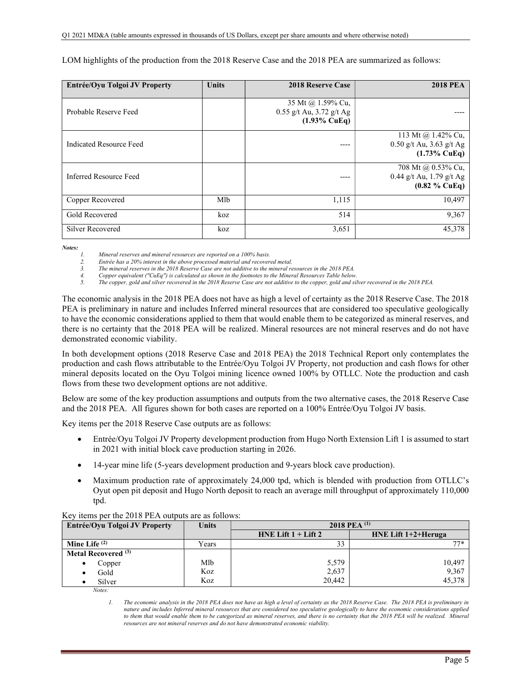| Entrée/Oyu Tolgoi JV Property | <b>Units</b> | 2018 Reserve Case                                                          | <b>2018 PEA</b>                                                             |
|-------------------------------|--------------|----------------------------------------------------------------------------|-----------------------------------------------------------------------------|
| Probable Reserve Feed         |              | 35 Mt @ 1.59% Cu,<br>$0.55$ g/t Au, 3.72 g/t Ag<br>$(1.93\% \text{ CuEq})$ |                                                                             |
| Indicated Resource Feed       |              | ----                                                                       | 113 Mt @ 1.42% Cu,<br>$0.50$ g/t Au, 3.63 g/t Ag<br>$(1.73\% \text{ CuEq})$ |
| Inferred Resource Feed        |              | ----                                                                       | 708 Mt @ 0.53% Cu,<br>0.44 g/t Au, 1.79 g/t Ag<br>$(0.82 \%$ CuEq)          |
| Copper Recovered              | Mlb          | 1,115                                                                      | 10,497                                                                      |
| Gold Recovered                | koz          | 514                                                                        | 9,367                                                                       |
| Silver Recovered              | koz          | 3,651                                                                      | 45,378                                                                      |

LOM highlights of the production from the 2018 Reserve Case and the 2018 PEA are summarized as follows:

Notes:

1. Mineral reserves and mineral resources are reported on a 100% basis.

2. Entrée has a 20% interest in the above processed material and recovered metal.<br>3. The mineral reserves in the 2018 Reserve Case are not additive to the mineral re

3. The mineral reserves in the 2018 Reserve Case are not additive to the mineral resources in the 2018 PEA.<br>4. Copper equivalent ("CuEq") is calculated as shown in the footnotes to the Mineral Resources Table below

4. Copper equivalent ("CuEq") is calculated as shown in the footnotes to the Mineral Resources Table below. 5. The copper, gold and silver recovered in the 2018 Reserve Case are not additive to the copper, gold and silver recovered in the 2018 PEA.

The economic analysis in the 2018 PEA does not have as high a level of certainty as the 2018 Reserve Case. The 2018 PEA is preliminary in nature and includes Inferred mineral resources that are considered too speculative geologically to have the economic considerations applied to them that would enable them to be categorized as mineral reserves, and there is no certainty that the 2018 PEA will be realized. Mineral resources are not mineral reserves and do not have demonstrated economic viability.

In both development options (2018 Reserve Case and 2018 PEA) the 2018 Technical Report only contemplates the production and cash flows attributable to the Entrée/Oyu Tolgoi JV Property, not production and cash flows for other mineral deposits located on the Oyu Tolgoi mining licence owned 100% by OTLLC. Note the production and cash flows from these two development options are not additive.

Below are some of the key production assumptions and outputs from the two alternative cases, the 2018 Reserve Case and the 2018 PEA. All figures shown for both cases are reported on a 100% Entrée/Oyu Tolgoi JV basis.

Key items per the 2018 Reserve Case outputs are as follows:

- Entrée/Oyu Tolgoi JV Property development production from Hugo North Extension Lift 1 is assumed to start in 2021 with initial block cave production starting in 2026.
- 14-year mine life (5-years development production and 9-years block cave production).
- Maximum production rate of approximately 24,000 tpd, which is blended with production from OTLLC's Oyut open pit deposit and Hugo North deposit to reach an average mill throughput of approximately 110,000 tpd.

| Entrée/Oyu Tolgoi JV Property  | <b>Units</b> | 2018 PEA $(1)$          |                        |  |  |  |  |
|--------------------------------|--------------|-------------------------|------------------------|--|--|--|--|
|                                |              | HNE Lift $1 +$ Lift $2$ | HNE Lift $1+2+$ Heruga |  |  |  |  |
| Mine Life $(2)$                | Years        | 33                      | $77*$                  |  |  |  |  |
| Metal Recovered <sup>(3)</sup> |              |                         |                        |  |  |  |  |
| Copper                         | Mlb          | 5,579                   | 10,497                 |  |  |  |  |
| Gold                           | Koz          | 2,637                   | 9,367                  |  |  |  |  |
| Silver                         | Koz          | 20.442                  | 45,378                 |  |  |  |  |

Key items per the 2018 PEA outputs are as follows:

Notes:

1. The economic analysis in the 2018 PEA does not have as high a level of certainty as the 2018 Reserve Case. The 2018 PEA is preliminary in nature and includes Inferred mineral resources that are considered too speculative geologically to have the economic considerations applied to them that would enable them to be categorized as mineral reserves, and there is no certainty that the 2018 PEA will be realized. Mineral resources are not mineral reserves and do not have demonstrated economic viability.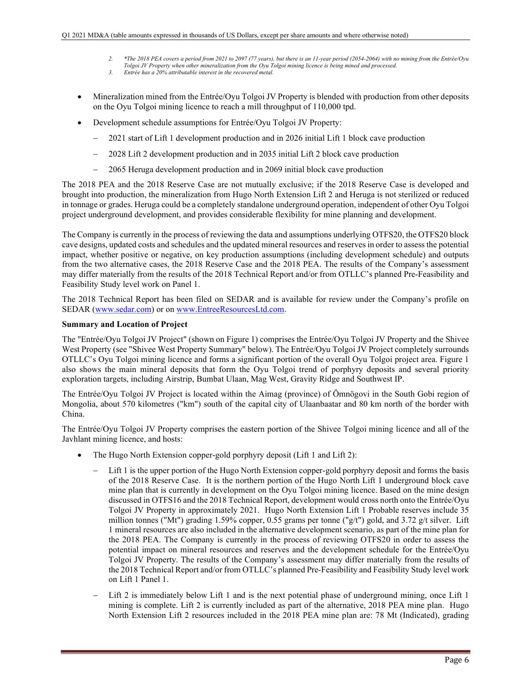- 2. \*The 2018 PEA covers a period from 2021 to 2097 (77 years), but there is an 11-year period (2054-2064) with no mining from the Entrée/Oyu
	- Tolgoi JV Property when other mineralization from the Oyu Tolgoi mining licence is being mined and processed.
- 3. Entrée has a 20% attributable interest in the recovered metal.
- Mineralization mined from the Entrée/Oyu Tolgoi JV Property is blended with production from other deposits on the Oyu Tolgoi mining licence to reach a mill throughput of 110,000 tpd.
- Development schedule assumptions for Entrée/Oyu Tolgoi JV Property:
	- 2021 start of Lift 1 development production and in 2026 initial Lift 1 block cave production
	- 2028 Lift 2 development production and in 2035 initial Lift 2 block cave production
	- 2065 Heruga development production and in 2069 initial block cave production

The 2018 PEA and the 2018 Reserve Case are not mutually exclusive; if the 2018 Reserve Case is developed and brought into production, the mineralization from Hugo North Extension Lift 2 and Heruga is not sterilized or reduced in tonnage or grades. Heruga could be a completely standalone underground operation, independent of other Oyu Tolgoi project underground development, and provides considerable flexibility for mine planning and development.

The Company is currently in the process of reviewing the data and assumptions underlying OTFS20, the OTFS20 block cave designs, updated costs and schedules and the updated mineral resources and reserves in order to assess the potential impact, whether positive or negative, on key production assumptions (including development schedule) and outputs from the two alternative cases, the 2018 Reserve Case and the 2018 PEA. The results of the Company's assessment may differ materially from the results of the 2018 Technical Report and/or from OTLLC's planned Pre-Feasibility and Feasibility Study level work on Panel 1.

The 2018 Technical Report has been filed on SEDAR and is available for review under the Company's profile on SEDAR (www.sedar.com) or on www.EntreeResourcesLtd.com.

## Summary and Location of Project

The "Entrée/Oyu Tolgoi JV Project" (shown on Figure 1) comprises the Entrée/Oyu Tolgoi JV Property and the Shivee West Property (see "Shivee West Property Summary" below). The Entrée/Oyu Tolgoi JV Project completely surrounds OTLLC's Oyu Tolgoi mining licence and forms a significant portion of the overall Oyu Tolgoi project area. Figure 1 also shows the main mineral deposits that form the Oyu Tolgoi trend of porphyry deposits and several priority exploration targets, including Airstrip, Bumbat Ulaan, Mag West, Gravity Ridge and Southwest IP.

The Entrée/Oyu Tolgoi JV Project is located within the Aimag (province) of Ömnögovi in the South Gobi region of Mongolia, about 570 kilometres ("km") south of the capital city of Ulaanbaatar and 80 km north of the border with China.

The Entrée/Oyu Tolgoi JV Property comprises the eastern portion of the Shivee Tolgoi mining licence and all of the Javhlant mining licence, and hosts:

- The Hugo North Extension copper-gold porphyry deposit (Lift 1 and Lift 2):
	- Lift 1 is the upper portion of the Hugo North Extension copper-gold porphyry deposit and forms the basis of the 2018 Reserve Case. It is the northern portion of the Hugo North Lift 1 underground block cave mine plan that is currently in development on the Oyu Tolgoi mining licence. Based on the mine design discussed in OTFS16 and the 2018 Technical Report, development would cross north onto the Entrée/Oyu Tolgoi JV Property in approximately 2021. Hugo North Extension Lift 1 Probable reserves include 35 million tonnes ("Mt") grading 1.59% copper, 0.55 grams per tonne ("g/t") gold, and 3.72 g/t silver. Lift 1 mineral resources are also included in the alternative development scenario, as part of the mine plan for the 2018 PEA. The Company is currently in the process of reviewing OTFS20 in order to assess the potential impact on mineral resources and reserves and the development schedule for the Entrée/Oyu Tolgoi JV Property. The results of the Company's assessment may differ materially from the results of the 2018 Technical Report and/or from OTLLC's planned Pre-Feasibility and Feasibility Study level work on Lift 1 Panel 1.
	- Lift 2 is immediately below Lift 1 and is the next potential phase of underground mining, once Lift 1 mining is complete. Lift 2 is currently included as part of the alternative, 2018 PEA mine plan. Hugo North Extension Lift 2 resources included in the 2018 PEA mine plan are: 78 Mt (Indicated), grading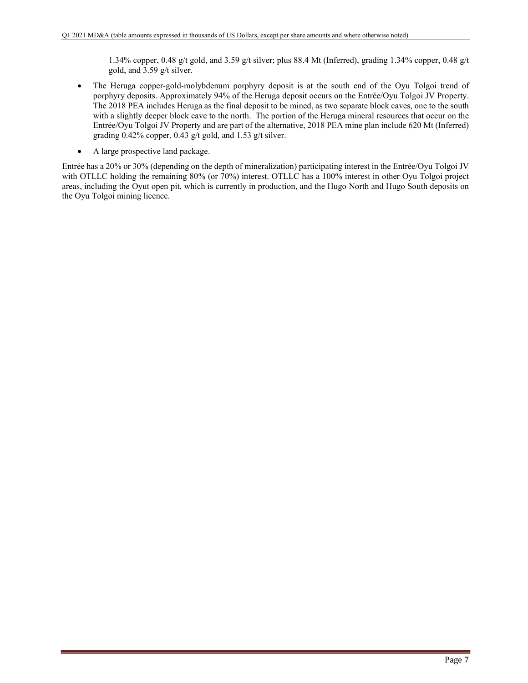1.34% copper, 0.48 g/t gold, and 3.59 g/t silver; plus 88.4 Mt (Inferred), grading 1.34% copper, 0.48 g/t gold, and 3.59 g/t silver.

- The Heruga copper-gold-molybdenum porphyry deposit is at the south end of the Oyu Tolgoi trend of porphyry deposits. Approximately 94% of the Heruga deposit occurs on the Entrée/Oyu Tolgoi JV Property. The 2018 PEA includes Heruga as the final deposit to be mined, as two separate block caves, one to the south with a slightly deeper block cave to the north. The portion of the Heruga mineral resources that occur on the Entrée/Oyu Tolgoi JV Property and are part of the alternative, 2018 PEA mine plan include 620 Mt (Inferred) grading 0.42% copper, 0.43 g/t gold, and 1.53 g/t silver.
- A large prospective land package.

Entrée has a 20% or 30% (depending on the depth of mineralization) participating interest in the Entrée/Oyu Tolgoi JV with OTLLC holding the remaining 80% (or 70%) interest. OTLLC has a 100% interest in other Oyu Tolgoi project areas, including the Oyut open pit, which is currently in production, and the Hugo North and Hugo South deposits on the Oyu Tolgoi mining licence.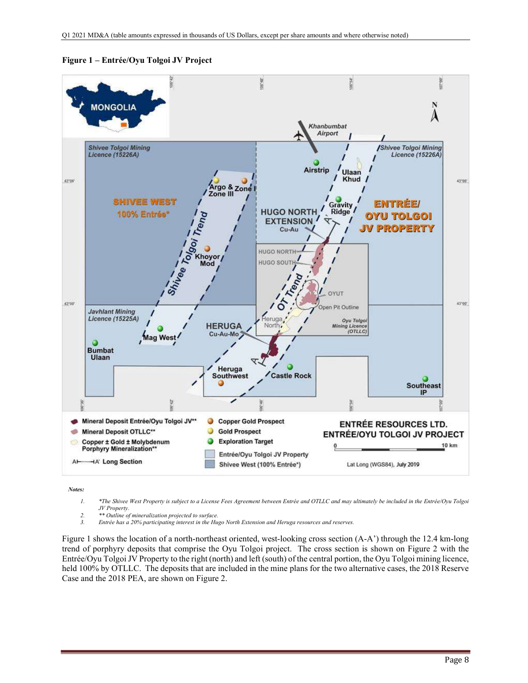

Figure 1 – Entrée/Oyu Tolgoi JV Project

Notes:

- 1. \*The Shivee West Property is subject to a License Fees Agreement between Entrée and OTLLC and may ultimately be included in the Entrée/Oyu Tolgoi JV Property.
- 2. \*\* Outline of mineralization projected to surface.
- 3. Entrée has a 20% participating interest in the Hugo North Extension and Heruga resources and reserves.

Figure 1 shows the location of a north-northeast oriented, west-looking cross section (A-A') through the 12.4 km-long trend of porphyry deposits that comprise the Oyu Tolgoi project. The cross section is shown on Figure 2 with the Entrée/Oyu Tolgoi JV Property to the right (north) and left (south) of the central portion, the Oyu Tolgoi mining licence, held 100% by OTLLC. The deposits that are included in the mine plans for the two alternative cases, the 2018 Reserve Case and the 2018 PEA, are shown on Figure 2.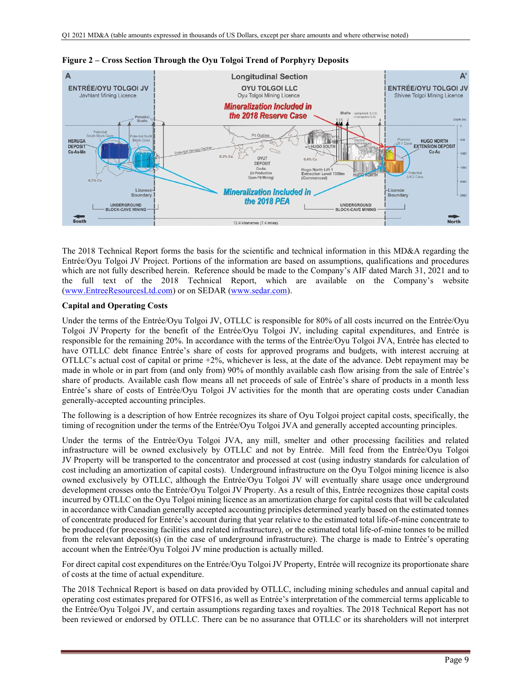

Figure 2 – Cross Section Through the Oyu Tolgoi Trend of Porphyry Deposits

The 2018 Technical Report forms the basis for the scientific and technical information in this MD&A regarding the Entrée/Oyu Tolgoi JV Project. Portions of the information are based on assumptions, qualifications and procedures which are not fully described herein. Reference should be made to the Company's AIF dated March 31, 2021 and to the full text of the 2018 Technical Report, which are available on the Company's website (www.EntreeResourcesLtd.com) or on SEDAR (www.sedar.com).

#### Capital and Operating Costs

Under the terms of the Entrée/Oyu Tolgoi JV, OTLLC is responsible for 80% of all costs incurred on the Entrée/Oyu Tolgoi JV Property for the benefit of the Entrée/Oyu Tolgoi JV, including capital expenditures, and Entrée is responsible for the remaining 20%. In accordance with the terms of the Entrée/Oyu Tolgoi JVA, Entrée has elected to have OTLLC debt finance Entrée's share of costs for approved programs and budgets, with interest accruing at OTLLC's actual cost of capital or prime +2%, whichever is less, at the date of the advance. Debt repayment may be made in whole or in part from (and only from) 90% of monthly available cash flow arising from the sale of Entrée's share of products. Available cash flow means all net proceeds of sale of Entrée's share of products in a month less Entrée's share of costs of Entrée/Oyu Tolgoi JV activities for the month that are operating costs under Canadian generally-accepted accounting principles.

The following is a description of how Entrée recognizes its share of Oyu Tolgoi project capital costs, specifically, the timing of recognition under the terms of the Entrée/Oyu Tolgoi JVA and generally accepted accounting principles.

Under the terms of the Entrée/Oyu Tolgoi JVA, any mill, smelter and other processing facilities and related infrastructure will be owned exclusively by OTLLC and not by Entrée. Mill feed from the Entrée/Oyu Tolgoi JV Property will be transported to the concentrator and processed at cost (using industry standards for calculation of cost including an amortization of capital costs). Underground infrastructure on the Oyu Tolgoi mining licence is also owned exclusively by OTLLC, although the Entrée/Oyu Tolgoi JV will eventually share usage once underground development crosses onto the Entrée/Oyu Tolgoi JV Property. As a result of this, Entrée recognizes those capital costs incurred by OTLLC on the Oyu Tolgoi mining licence as an amortization charge for capital costs that will be calculated in accordance with Canadian generally accepted accounting principles determined yearly based on the estimated tonnes of concentrate produced for Entrée's account during that year relative to the estimated total life-of-mine concentrate to be produced (for processing facilities and related infrastructure), or the estimated total life-of-mine tonnes to be milled from the relevant deposit(s) (in the case of underground infrastructure). The charge is made to Entrée's operating account when the Entrée/Oyu Tolgoi JV mine production is actually milled.

For direct capital cost expenditures on the Entrée/Oyu Tolgoi JV Property, Entrée will recognize its proportionate share of costs at the time of actual expenditure.

The 2018 Technical Report is based on data provided by OTLLC, including mining schedules and annual capital and operating cost estimates prepared for OTFS16, as well as Entrée's interpretation of the commercial terms applicable to the Entrée/Oyu Tolgoi JV, and certain assumptions regarding taxes and royalties. The 2018 Technical Report has not been reviewed or endorsed by OTLLC. There can be no assurance that OTLLC or its shareholders will not interpret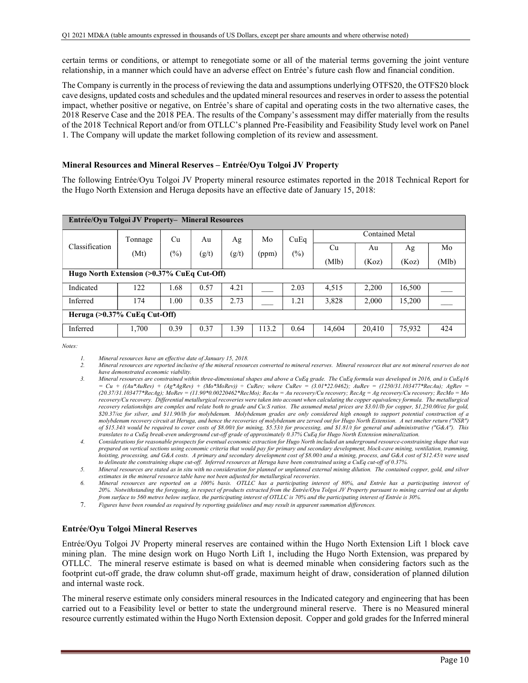certain terms or conditions, or attempt to renegotiate some or all of the material terms governing the joint venture relationship, in a manner which could have an adverse effect on Entrée's future cash flow and financial condition.

The Company is currently in the process of reviewing the data and assumptions underlying OTFS20, the OTFS20 block cave designs, updated costs and schedules and the updated mineral resources and reserves in order to assess the potential impact, whether positive or negative, on Entrée's share of capital and operating costs in the two alternative cases, the 2018 Reserve Case and the 2018 PEA. The results of the Company's assessment may differ materially from the results of the 2018 Technical Report and/or from OTLLC's planned Pre-Feasibility and Feasibility Study level work on Panel 1. The Company will update the market following completion of its review and assessment.

#### Mineral Resources and Mineral Reserves – Entrée/Oyu Tolgoi JV Property

The following Entrée/Oyu Tolgoi JV Property mineral resource estimates reported in the 2018 Technical Report for the Hugo North Extension and Heruga deposits have an effective date of January 15, 2018:

| Entrée/Oyu Tolgoi JV Property- Mineral Resources |         |        |       |       |       |        |        |                 |        |       |
|--------------------------------------------------|---------|--------|-------|-------|-------|--------|--------|-----------------|--------|-------|
|                                                  | Tonnage | Cu     | Au    | Ag    | Mo    | CuEq   |        | Contained Metal |        |       |
| Classification                                   | (Mt)    | $(\%)$ | (g/t) | (g/t) | (ppm) | $(\%)$ | Cu     | Au              | Ag     | Mo    |
|                                                  |         |        |       |       |       |        | (Mlb)  | (Koz)           | (Koz)  | (Mlb) |
| Hugo North Extension (>0.37% CuEq Cut-Off)       |         |        |       |       |       |        |        |                 |        |       |
| Indicated                                        | 122     | 1.68   | 0.57  | 4.21  | ___   | 2.03   | 4,515  | 2,200           | 16,500 |       |
| Inferred                                         | 174     | 1.00   | 0.35  | 2.73  |       | 1.21   | 3,828  | 2,000           | 15,200 |       |
| Heruga (>0.37% CuEq Cut-Off)                     |         |        |       |       |       |        |        |                 |        |       |
| Inferred                                         | 1,700   | 0.39   | 0.37  | 1.39  | 113.2 | 0.64   | 14,604 | 20,410          | 75,932 | 424   |

Notes:

- 2. Mineral resources are reported inclusive of the mineral resources converted to mineral reserves. Mineral resources that are not mineral reserves do not have demonstrated economic viability.
- 3. Mineral resources are constrained within three-dimensional shapes and above a CuEq grade. The CuEq formula was developed in 2016, and is CuEq16  $= Cu + ((Au*AuRev) + (Ag*AgRev) + (Mo*MoRev)) + ClRev$ ; where CuRev = (3.01\*22.0462); AuRev = (1250/31.103477\*RecAu); AgRev = (20.37/31.103477\*RecAg); MoRev = (11.90\*0.00220462\*RecMo); RecAu = Au recovery/Cu recovery; RecAg = Ag recovery/Cu recovery; RecMo = Mo recovery/Cu recovery. Differential metallurgical recoveries were taken into account when calculating the copper equivalency formula. The metallurgical recovery relationships are complex and relate both to grade and Cu:S ratios. The assumed metal prices are \$3.01/lb for copper, \$1,250.00/oz for gold, \$20.37/oz for silver, and \$11.90/lb for molybdenum. Molybdenum grades are only considered high enough to support potential construction of a molybdenum recovery circuit at Heruga, and hence the recoveries of molybdenum are zeroed out for Hugo North Extension. A net smelter return ("NSR") of \$15.34/t would be required to cover costs of \$8.00/t for mining, \$5.53/t for processing, and \$1.81/t for general and administrative ("G&A"). This translates to a CuEq break-even underground cut-off grade of approximately 0.37% CuEq for Hugo North Extension mineralization.
- 4. Considerations for reasonable prospects for eventual economic extraction for Hugo North included an underground resource-constraining shape that was prepared on vertical sections using economic criteria that would pay for primary and secondary development, block-cave mining, ventilation, tramming, hoisting, processing, and G&A costs. A primary and secondary development cost of \$8.00/t and a mining, process, and G&A cost of \$12.45/t were used to delineate the constraining shape cut-off. Inferred resources at Heruga have been constrained using a CuEq cut-off of 0.37%.
- 5. Mineral resources are stated as in situ with no consideration for planned or unplanned external mining dilution. The contained copper, gold, and silver estimates in the mineral resource table have not been adjusted for metallurgical recoveries.
- 6. Mineral resources are reported on a 100% basis. OTLLC has a participating interest of 80%, and Entrée has a participating interest of 20%. Notwithstanding the foregoing, in respect of products extracted from the Entrée/Oyu Tolgoi JV Property pursuant to mining carried out at depths from surface to 560 metres below surface, the participating interest of OTLLC is 70% and the participating interest of Entrée is 30%.
- 7. Figures have been rounded as required by reporting guidelines and may result in apparent summation differences.

## Entrée/Oyu Tolgoi Mineral Reserves

Entrée/Oyu Tolgoi JV Property mineral reserves are contained within the Hugo North Extension Lift 1 block cave mining plan. The mine design work on Hugo North Lift 1, including the Hugo North Extension, was prepared by OTLLC. The mineral reserve estimate is based on what is deemed minable when considering factors such as the footprint cut-off grade, the draw column shut-off grade, maximum height of draw, consideration of planned dilution and internal waste rock.

The mineral reserve estimate only considers mineral resources in the Indicated category and engineering that has been carried out to a Feasibility level or better to state the underground mineral reserve. There is no Measured mineral resource currently estimated within the Hugo North Extension deposit. Copper and gold grades for the Inferred mineral

<sup>1.</sup> Mineral resources have an effective date of January 15, 2018.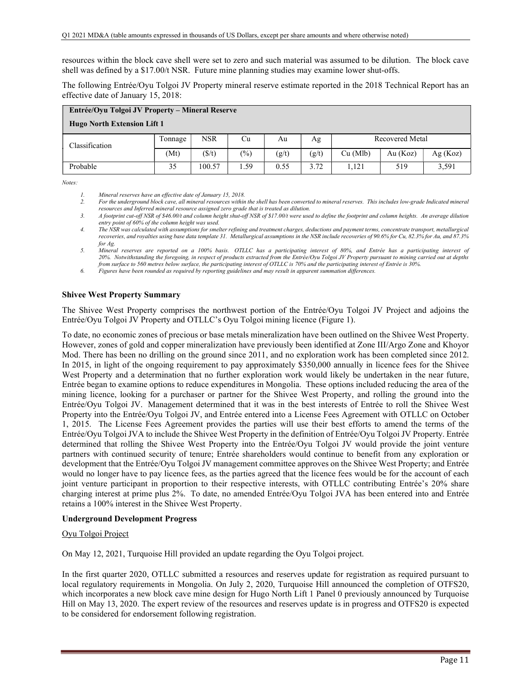resources within the block cave shell were set to zero and such material was assumed to be dilution. The block cave shell was defined by a \$17.00/t NSR. Future mine planning studies may examine lower shut-offs.

The following Entrée/Oyu Tolgoi JV Property mineral reserve estimate reported in the 2018 Technical Report has an effective date of January 15, 2018:

| Entrée/Oyu Tolgoi JV Property – Mineral Reserve |         |        |               |       |       |          |                 |         |
|-------------------------------------------------|---------|--------|---------------|-------|-------|----------|-----------------|---------|
| <b>Hugo North Extension Lift 1</b>              |         |        |               |       |       |          |                 |         |
| Classification                                  | Tonnage | NSR    | Cu            | Au    | Ag    |          | Recovered Metal |         |
|                                                 | (Mt)    | (S/t)  | $\frac{1}{2}$ | (g/t) | (g/t) | Cu (Mlb) | Au (Koz)        | Ag(Koz) |
| Probable                                        | 35      | 100.57 | .59           | 0.55  | 3.72  | 1.121    | 519             | 3,591   |

Notes:

1. Mineral reserves have an effective date of January 15, 2018.

3. A footprint cut-off NSR of \$46.00/t and column height shut-off NSR of \$17.00/t were used to define the footprint and column heights. An average dilution entry point of 60% of the column height was used.

4. The NSR was calculated with assumptions for smelter refining and treatment charges, deductions and payment terms, concentrate transport, metallurgical recoveries, and royalties using base data template 31. Metallurgical assumptions in the NSR include recoveries of 90.6% for Cu, 82.3% for Au, and 87.3% for Ag.

5. Mineral reserves are reported on a 100% basis. OTLLC has a participating interest of 80%, and Entrée has a participating interest of 20%. Notwithstanding the foregoing, in respect of products extracted from the Entrée/Oyu Tolgoi JV Property pursuant to mining carried out at depths from surface to 560 metres below surface, the participating interest of OTLLC is 70% and the participating interest of Entrée is 30%.

6. Figures have been rounded as required by reporting guidelines and may result in apparent summation differences.

#### Shivee West Property Summary

The Shivee West Property comprises the northwest portion of the Entrée/Oyu Tolgoi JV Project and adjoins the Entrée/Oyu Tolgoi JV Property and OTLLC's Oyu Tolgoi mining licence (Figure 1).

To date, no economic zones of precious or base metals mineralization have been outlined on the Shivee West Property. However, zones of gold and copper mineralization have previously been identified at Zone III/Argo Zone and Khoyor Mod. There has been no drilling on the ground since 2011, and no exploration work has been completed since 2012. In 2015, in light of the ongoing requirement to pay approximately \$350,000 annually in licence fees for the Shivee West Property and a determination that no further exploration work would likely be undertaken in the near future, Entrée began to examine options to reduce expenditures in Mongolia. These options included reducing the area of the mining licence, looking for a purchaser or partner for the Shivee West Property, and rolling the ground into the Entrée/Oyu Tolgoi JV. Management determined that it was in the best interests of Entrée to roll the Shivee West Property into the Entrée/Oyu Tolgoi JV, and Entrée entered into a License Fees Agreement with OTLLC on October 1, 2015. The License Fees Agreement provides the parties will use their best efforts to amend the terms of the Entrée/Oyu Tolgoi JVA to include the Shivee West Property in the definition of Entrée/Oyu Tolgoi JV Property. Entrée determined that rolling the Shivee West Property into the Entrée/Oyu Tolgoi JV would provide the joint venture partners with continued security of tenure; Entrée shareholders would continue to benefit from any exploration or development that the Entrée/Oyu Tolgoi JV management committee approves on the Shivee West Property; and Entrée would no longer have to pay licence fees, as the parties agreed that the licence fees would be for the account of each joint venture participant in proportion to their respective interests, with OTLLC contributing Entrée's 20% share charging interest at prime plus 2%. To date, no amended Entrée/Oyu Tolgoi JVA has been entered into and Entrée retains a 100% interest in the Shivee West Property.

#### Underground Development Progress

#### Oyu Tolgoi Project

On May 12, 2021, Turquoise Hill provided an update regarding the Oyu Tolgoi project.

In the first quarter 2020, OTLLC submitted a resources and reserves update for registration as required pursuant to local regulatory requirements in Mongolia. On July 2, 2020, Turquoise Hill announced the completion of OTFS20, which incorporates a new block cave mine design for Hugo North Lift 1 Panel 0 previously announced by Turquoise Hill on May 13, 2020. The expert review of the resources and reserves update is in progress and OTFS20 is expected to be considered for endorsement following registration.

<sup>2.</sup> For the underground block cave, all mineral resources within the shell has been converted to mineral reserves. This includes low-grade Indicated mineral resources and Inferred mineral resource assigned zero grade that is treated as dilution.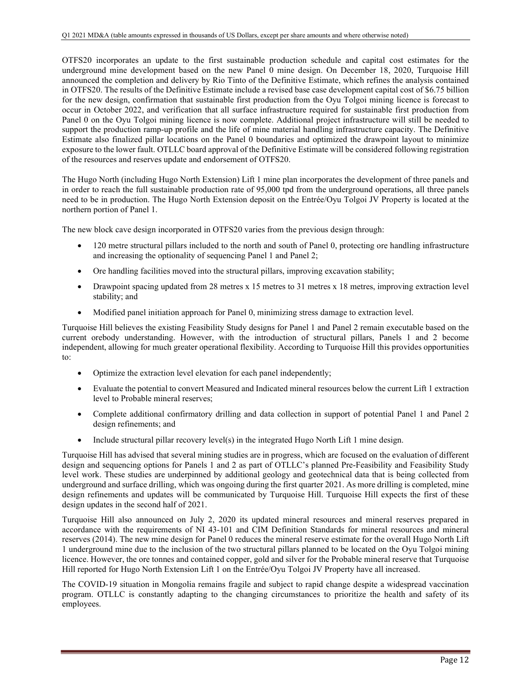OTFS20 incorporates an update to the first sustainable production schedule and capital cost estimates for the underground mine development based on the new Panel 0 mine design. On December 18, 2020, Turquoise Hill announced the completion and delivery by Rio Tinto of the Definitive Estimate, which refines the analysis contained in OTFS20. The results of the Definitive Estimate include a revised base case development capital cost of \$6.75 billion for the new design, confirmation that sustainable first production from the Oyu Tolgoi mining licence is forecast to occur in October 2022, and verification that all surface infrastructure required for sustainable first production from Panel 0 on the Oyu Tolgoi mining licence is now complete. Additional project infrastructure will still be needed to support the production ramp-up profile and the life of mine material handling infrastructure capacity. The Definitive Estimate also finalized pillar locations on the Panel 0 boundaries and optimized the drawpoint layout to minimize exposure to the lower fault. OTLLC board approval of the Definitive Estimate will be considered following registration of the resources and reserves update and endorsement of OTFS20.

The Hugo North (including Hugo North Extension) Lift 1 mine plan incorporates the development of three panels and in order to reach the full sustainable production rate of 95,000 tpd from the underground operations, all three panels need to be in production. The Hugo North Extension deposit on the Entrée/Oyu Tolgoi JV Property is located at the northern portion of Panel 1.

The new block cave design incorporated in OTFS20 varies from the previous design through:

- 120 metre structural pillars included to the north and south of Panel 0, protecting ore handling infrastructure and increasing the optionality of sequencing Panel 1 and Panel 2;
- Ore handling facilities moved into the structural pillars, improving excavation stability;
- Drawpoint spacing updated from 28 metres x 15 metres to 31 metres x 18 metres, improving extraction level stability; and
- Modified panel initiation approach for Panel 0, minimizing stress damage to extraction level.

Turquoise Hill believes the existing Feasibility Study designs for Panel 1 and Panel 2 remain executable based on the current orebody understanding. However, with the introduction of structural pillars, Panels 1 and 2 become independent, allowing for much greater operational flexibility. According to Turquoise Hill this provides opportunities to:

- Optimize the extraction level elevation for each panel independently;
- Evaluate the potential to convert Measured and Indicated mineral resources below the current Lift 1 extraction level to Probable mineral reserves;
- Complete additional confirmatory drilling and data collection in support of potential Panel 1 and Panel 2 design refinements; and
- Include structural pillar recovery level(s) in the integrated Hugo North Lift 1 mine design.

Turquoise Hill has advised that several mining studies are in progress, which are focused on the evaluation of different design and sequencing options for Panels 1 and 2 as part of OTLLC's planned Pre-Feasibility and Feasibility Study level work. These studies are underpinned by additional geology and geotechnical data that is being collected from underground and surface drilling, which was ongoing during the first quarter 2021. As more drilling is completed, mine design refinements and updates will be communicated by Turquoise Hill. Turquoise Hill expects the first of these design updates in the second half of 2021.

Turquoise Hill also announced on July 2, 2020 its updated mineral resources and mineral reserves prepared in accordance with the requirements of NI 43-101 and CIM Definition Standards for mineral resources and mineral reserves (2014). The new mine design for Panel 0 reduces the mineral reserve estimate for the overall Hugo North Lift 1 underground mine due to the inclusion of the two structural pillars planned to be located on the Oyu Tolgoi mining licence. However, the ore tonnes and contained copper, gold and silver for the Probable mineral reserve that Turquoise Hill reported for Hugo North Extension Lift 1 on the Entrée/Oyu Tolgoi JV Property have all increased.

The COVID-19 situation in Mongolia remains fragile and subject to rapid change despite a widespread vaccination program. OTLLC is constantly adapting to the changing circumstances to prioritize the health and safety of its employees.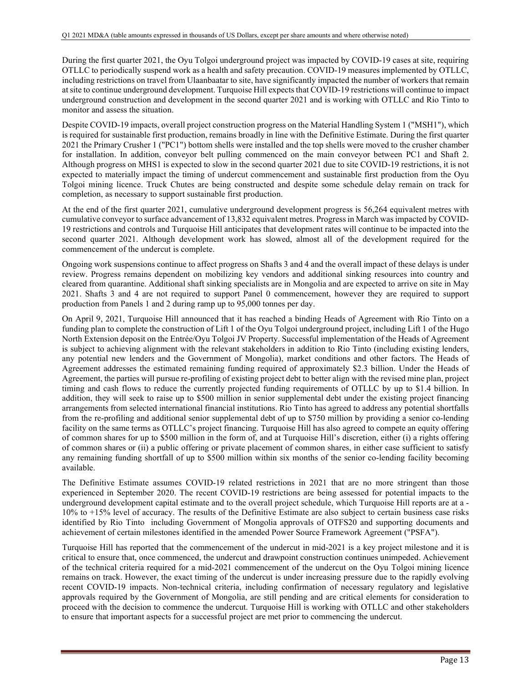During the first quarter 2021, the Oyu Tolgoi underground project was impacted by COVID-19 cases at site, requiring OTLLC to periodically suspend work as a health and safety precaution. COVID-19 measures implemented by OTLLC, including restrictions on travel from Ulaanbaatar to site, have significantly impacted the number of workers that remain at site to continue underground development. Turquoise Hill expects that COVID-19 restrictions will continue to impact underground construction and development in the second quarter 2021 and is working with OTLLC and Rio Tinto to monitor and assess the situation.

Despite COVID-19 impacts, overall project construction progress on the Material Handling System 1 ("MSH1"), which is required for sustainable first production, remains broadly in line with the Definitive Estimate. During the first quarter 2021 the Primary Crusher 1 ("PC1") bottom shells were installed and the top shells were moved to the crusher chamber for installation. In addition, conveyor belt pulling commenced on the main conveyor between PC1 and Shaft 2. Although progress on MHS1 is expected to slow in the second quarter 2021 due to site COVID-19 restrictions, it is not expected to materially impact the timing of undercut commencement and sustainable first production from the Oyu Tolgoi mining licence. Truck Chutes are being constructed and despite some schedule delay remain on track for completion, as necessary to support sustainable first production.

At the end of the first quarter 2021, cumulative underground development progress is 56,264 equivalent metres with cumulative conveyor to surface advancement of 13,832 equivalent metres. Progress in March was impacted by COVID-19 restrictions and controls and Turquoise Hill anticipates that development rates will continue to be impacted into the second quarter 2021. Although development work has slowed, almost all of the development required for the commencement of the undercut is complete.

Ongoing work suspensions continue to affect progress on Shafts 3 and 4 and the overall impact of these delays is under review. Progress remains dependent on mobilizing key vendors and additional sinking resources into country and cleared from quarantine. Additional shaft sinking specialists are in Mongolia and are expected to arrive on site in May 2021. Shafts 3 and 4 are not required to support Panel 0 commencement, however they are required to support production from Panels 1 and 2 during ramp up to 95,000 tonnes per day.

On April 9, 2021, Turquoise Hill announced that it has reached a binding Heads of Agreement with Rio Tinto on a funding plan to complete the construction of Lift 1 of the Oyu Tolgoi underground project, including Lift 1 of the Hugo North Extension deposit on the Entrée/Oyu Tolgoi JV Property. Successful implementation of the Heads of Agreement is subject to achieving alignment with the relevant stakeholders in addition to Rio Tinto (including existing lenders, any potential new lenders and the Government of Mongolia), market conditions and other factors. The Heads of Agreement addresses the estimated remaining funding required of approximately \$2.3 billion. Under the Heads of Agreement, the parties will pursue re-profiling of existing project debt to better align with the revised mine plan, project timing and cash flows to reduce the currently projected funding requirements of OTLLC by up to \$1.4 billion. In addition, they will seek to raise up to \$500 million in senior supplemental debt under the existing project financing arrangements from selected international financial institutions. Rio Tinto has agreed to address any potential shortfalls from the re-profiling and additional senior supplemental debt of up to \$750 million by providing a senior co-lending facility on the same terms as OTLLC's project financing. Turquoise Hill has also agreed to compete an equity offering of common shares for up to \$500 million in the form of, and at Turquoise Hill's discretion, either (i) a rights offering of common shares or (ii) a public offering or private placement of common shares, in either case sufficient to satisfy any remaining funding shortfall of up to \$500 million within six months of the senior co-lending facility becoming available.

The Definitive Estimate assumes COVID-19 related restrictions in 2021 that are no more stringent than those experienced in September 2020. The recent COVID-19 restrictions are being assessed for potential impacts to the underground development capital estimate and to the overall project schedule, which Turquoise Hill reports are at a - 10% to +15% level of accuracy. The results of the Definitive Estimate are also subject to certain business case risks identified by Rio Tinto including Government of Mongolia approvals of OTFS20 and supporting documents and achievement of certain milestones identified in the amended Power Source Framework Agreement ("PSFA").

Turquoise Hill has reported that the commencement of the undercut in mid-2021 is a key project milestone and it is critical to ensure that, once commenced, the undercut and drawpoint construction continues unimpeded. Achievement of the technical criteria required for a mid-2021 commencement of the undercut on the Oyu Tolgoi mining licence remains on track. However, the exact timing of the undercut is under increasing pressure due to the rapidly evolving recent COVID-19 impacts. Non-technical criteria, including confirmation of necessary regulatory and legislative approvals required by the Government of Mongolia, are still pending and are critical elements for consideration to proceed with the decision to commence the undercut. Turquoise Hill is working with OTLLC and other stakeholders to ensure that important aspects for a successful project are met prior to commencing the undercut.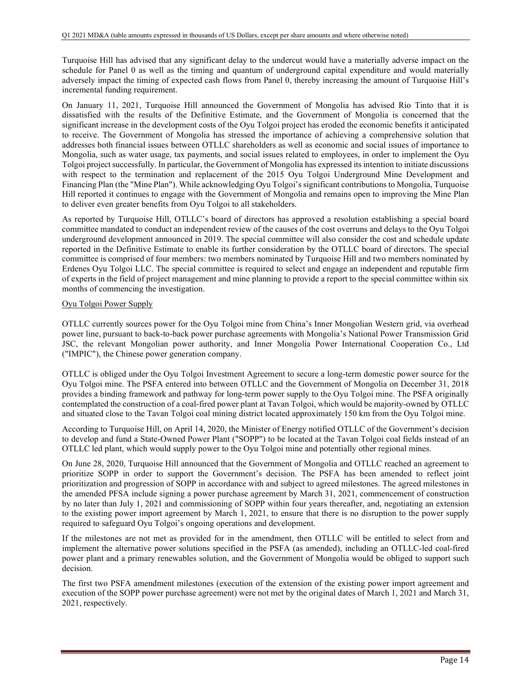Turquoise Hill has advised that any significant delay to the undercut would have a materially adverse impact on the schedule for Panel 0 as well as the timing and quantum of underground capital expenditure and would materially adversely impact the timing of expected cash flows from Panel 0, thereby increasing the amount of Turquoise Hill's incremental funding requirement.

On January 11, 2021, Turquoise Hill announced the Government of Mongolia has advised Rio Tinto that it is dissatisfied with the results of the Definitive Estimate, and the Government of Mongolia is concerned that the significant increase in the development costs of the Oyu Tolgoi project has eroded the economic benefits it anticipated to receive. The Government of Mongolia has stressed the importance of achieving a comprehensive solution that addresses both financial issues between OTLLC shareholders as well as economic and social issues of importance to Mongolia, such as water usage, tax payments, and social issues related to employees, in order to implement the Oyu Tolgoi project successfully. In particular, the Government of Mongolia has expressed its intention to initiate discussions with respect to the termination and replacement of the 2015 Oyu Tolgoi Underground Mine Development and Financing Plan (the "Mine Plan"). While acknowledging Oyu Tolgoi's significant contributions to Mongolia, Turquoise Hill reported it continues to engage with the Government of Mongolia and remains open to improving the Mine Plan to deliver even greater benefits from Oyu Tolgoi to all stakeholders.

As reported by Turquoise Hill, OTLLC's board of directors has approved a resolution establishing a special board committee mandated to conduct an independent review of the causes of the cost overruns and delays to the Oyu Tolgoi underground development announced in 2019. The special committee will also consider the cost and schedule update reported in the Definitive Estimate to enable its further consideration by the OTLLC board of directors. The special committee is comprised of four members: two members nominated by Turquoise Hill and two members nominated by Erdenes Oyu Tolgoi LLC. The special committee is required to select and engage an independent and reputable firm of experts in the field of project management and mine planning to provide a report to the special committee within six months of commencing the investigation.

## Oyu Tolgoi Power Supply

OTLLC currently sources power for the Oyu Tolgoi mine from China's Inner Mongolian Western grid, via overhead power line, pursuant to back-to-back power purchase agreements with Mongolia's National Power Transmission Grid JSC, the relevant Mongolian power authority, and Inner Mongolia Power International Cooperation Co., Ltd ("IMPIC"), the Chinese power generation company.

OTLLC is obliged under the Oyu Tolgoi Investment Agreement to secure a long-term domestic power source for the Oyu Tolgoi mine. The PSFA entered into between OTLLC and the Government of Mongolia on December 31, 2018 provides a binding framework and pathway for long-term power supply to the Oyu Tolgoi mine. The PSFA originally contemplated the construction of a coal-fired power plant at Tavan Tolgoi, which would be majority-owned by OTLLC and situated close to the Tavan Tolgoi coal mining district located approximately 150 km from the Oyu Tolgoi mine.

According to Turquoise Hill, on April 14, 2020, the Minister of Energy notified OTLLC of the Government's decision to develop and fund a State-Owned Power Plant ("SOPP") to be located at the Tavan Tolgoi coal fields instead of an OTLLC led plant, which would supply power to the Oyu Tolgoi mine and potentially other regional mines.

On June 28, 2020, Turquoise Hill announced that the Government of Mongolia and OTLLC reached an agreement to prioritize SOPP in order to support the Government's decision. The PSFA has been amended to reflect joint prioritization and progression of SOPP in accordance with and subject to agreed milestones. The agreed milestones in the amended PFSA include signing a power purchase agreement by March 31, 2021, commencement of construction by no later than July 1, 2021 and commissioning of SOPP within four years thereafter, and, negotiating an extension to the existing power import agreement by March 1, 2021, to ensure that there is no disruption to the power supply required to safeguard Oyu Tolgoi's ongoing operations and development.

If the milestones are not met as provided for in the amendment, then OTLLC will be entitled to select from and implement the alternative power solutions specified in the PSFA (as amended), including an OTLLC-led coal-fired power plant and a primary renewables solution, and the Government of Mongolia would be obliged to support such decision.

The first two PSFA amendment milestones (execution of the extension of the existing power import agreement and execution of the SOPP power purchase agreement) were not met by the original dates of March 1, 2021 and March 31, 2021, respectively.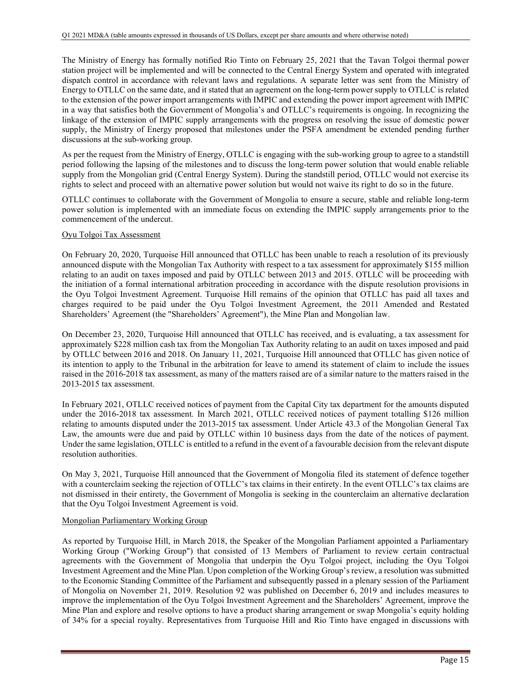The Ministry of Energy has formally notified Rio Tinto on February 25, 2021 that the Tavan Tolgoi thermal power station project will be implemented and will be connected to the Central Energy System and operated with integrated dispatch control in accordance with relevant laws and regulations. A separate letter was sent from the Ministry of Energy to OTLLC on the same date, and it stated that an agreement on the long-term power supply to OTLLC is related to the extension of the power import arrangements with IMPIC and extending the power import agreement with IMPIC in a way that satisfies both the Government of Mongolia's and OTLLC's requirements is ongoing. In recognizing the linkage of the extension of IMPIC supply arrangements with the progress on resolving the issue of domestic power supply, the Ministry of Energy proposed that milestones under the PSFA amendment be extended pending further discussions at the sub-working group.

As per the request from the Ministry of Energy, OTLLC is engaging with the sub-working group to agree to a standstill period following the lapsing of the milestones and to discuss the long-term power solution that would enable reliable supply from the Mongolian grid (Central Energy System). During the standstill period, OTLLC would not exercise its rights to select and proceed with an alternative power solution but would not waive its right to do so in the future.

OTLLC continues to collaborate with the Government of Mongolia to ensure a secure, stable and reliable long-term power solution is implemented with an immediate focus on extending the IMPIC supply arrangements prior to the commencement of the undercut.

#### Oyu Tolgoi Tax Assessment

On February 20, 2020, Turquoise Hill announced that OTLLC has been unable to reach a resolution of its previously announced dispute with the Mongolian Tax Authority with respect to a tax assessment for approximately \$155 million relating to an audit on taxes imposed and paid by OTLLC between 2013 and 2015. OTLLC will be proceeding with the initiation of a formal international arbitration proceeding in accordance with the dispute resolution provisions in the Oyu Tolgoi Investment Agreement. Turquoise Hill remains of the opinion that OTLLC has paid all taxes and charges required to be paid under the Oyu Tolgoi Investment Agreement, the 2011 Amended and Restated Shareholders' Agreement (the "Shareholders' Agreement"), the Mine Plan and Mongolian law.

On December 23, 2020, Turquoise Hill announced that OTLLC has received, and is evaluating, a tax assessment for approximately \$228 million cash tax from the Mongolian Tax Authority relating to an audit on taxes imposed and paid by OTLLC between 2016 and 2018. On January 11, 2021, Turquoise Hill announced that OTLLC has given notice of its intention to apply to the Tribunal in the arbitration for leave to amend its statement of claim to include the issues raised in the 2016-2018 tax assessment, as many of the matters raised are of a similar nature to the matters raised in the 2013-2015 tax assessment.

In February 2021, OTLLC received notices of payment from the Capital City tax department for the amounts disputed under the 2016-2018 tax assessment. In March 2021, OTLLC received notices of payment totalling \$126 million relating to amounts disputed under the 2013-2015 tax assessment. Under Article 43.3 of the Mongolian General Tax Law, the amounts were due and paid by OTLLC within 10 business days from the date of the notices of payment. Under the same legislation, OTLLC is entitled to a refund in the event of a favourable decision from the relevant dispute resolution authorities.

On May 3, 2021, Turquoise Hill announced that the Government of Mongolia filed its statement of defence together with a counterclaim seeking the rejection of OTLLC's tax claims in their entirety. In the event OTLLC's tax claims are not dismissed in their entirety, the Government of Mongolia is seeking in the counterclaim an alternative declaration that the Oyu Tolgoi Investment Agreement is void.

## Mongolian Parliamentary Working Group

As reported by Turquoise Hill, in March 2018, the Speaker of the Mongolian Parliament appointed a Parliamentary Working Group ("Working Group") that consisted of 13 Members of Parliament to review certain contractual agreements with the Government of Mongolia that underpin the Oyu Tolgoi project, including the Oyu Tolgoi Investment Agreement and the Mine Plan. Upon completion of the Working Group's review, a resolution was submitted to the Economic Standing Committee of the Parliament and subsequently passed in a plenary session of the Parliament of Mongolia on November 21, 2019. Resolution 92 was published on December 6, 2019 and includes measures to improve the implementation of the Oyu Tolgoi Investment Agreement and the Shareholders' Agreement, improve the Mine Plan and explore and resolve options to have a product sharing arrangement or swap Mongolia's equity holding of 34% for a special royalty. Representatives from Turquoise Hill and Rio Tinto have engaged in discussions with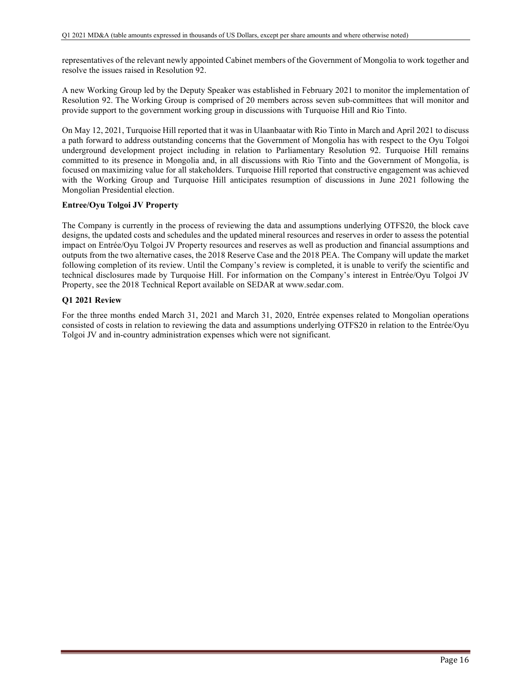representatives of the relevant newly appointed Cabinet members of the Government of Mongolia to work together and resolve the issues raised in Resolution 92.

A new Working Group led by the Deputy Speaker was established in February 2021 to monitor the implementation of Resolution 92. The Working Group is comprised of 20 members across seven sub-committees that will monitor and provide support to the government working group in discussions with Turquoise Hill and Rio Tinto.

On May 12, 2021, Turquoise Hill reported that it was in Ulaanbaatar with Rio Tinto in March and April 2021 to discuss a path forward to address outstanding concerns that the Government of Mongolia has with respect to the Oyu Tolgoi underground development project including in relation to Parliamentary Resolution 92. Turquoise Hill remains committed to its presence in Mongolia and, in all discussions with Rio Tinto and the Government of Mongolia, is focused on maximizing value for all stakeholders. Turquoise Hill reported that constructive engagement was achieved with the Working Group and Turquoise Hill anticipates resumption of discussions in June 2021 following the Mongolian Presidential election.

#### Entree/Oyu Tolgoi JV Property

The Company is currently in the process of reviewing the data and assumptions underlying OTFS20, the block cave designs, the updated costs and schedules and the updated mineral resources and reserves in order to assess the potential impact on Entrée/Oyu Tolgoi JV Property resources and reserves as well as production and financial assumptions and outputs from the two alternative cases, the 2018 Reserve Case and the 2018 PEA. The Company will update the market following completion of its review. Until the Company's review is completed, it is unable to verify the scientific and technical disclosures made by Turquoise Hill. For information on the Company's interest in Entrée/Oyu Tolgoi JV Property, see the 2018 Technical Report available on SEDAR at www.sedar.com.

#### Q1 2021 Review

For the three months ended March 31, 2021 and March 31, 2020, Entrée expenses related to Mongolian operations consisted of costs in relation to reviewing the data and assumptions underlying OTFS20 in relation to the Entrée/Oyu Tolgoi JV and in-country administration expenses which were not significant.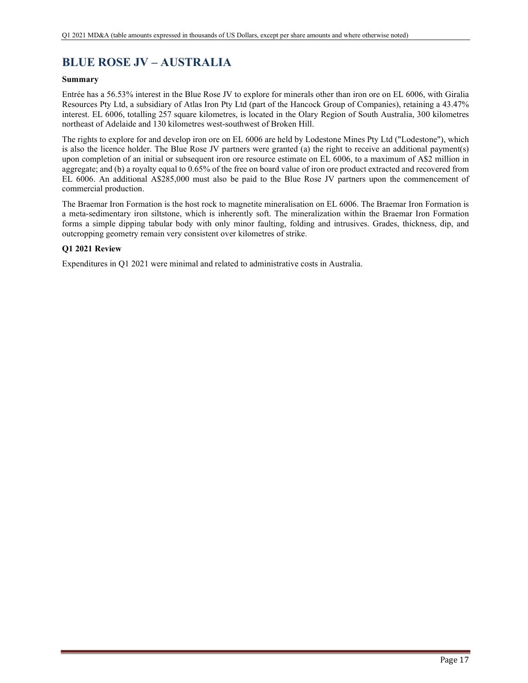# BLUE ROSE JV – AUSTRALIA

## Summary

Entrée has a 56.53% interest in the Blue Rose JV to explore for minerals other than iron ore on EL 6006, with Giralia Resources Pty Ltd, a subsidiary of Atlas Iron Pty Ltd (part of the Hancock Group of Companies), retaining a 43.47% interest. EL 6006, totalling 257 square kilometres, is located in the Olary Region of South Australia, 300 kilometres northeast of Adelaide and 130 kilometres west-southwest of Broken Hill.

The rights to explore for and develop iron ore on EL 6006 are held by Lodestone Mines Pty Ltd ("Lodestone"), which is also the licence holder. The Blue Rose JV partners were granted (a) the right to receive an additional payment(s) upon completion of an initial or subsequent iron ore resource estimate on EL 6006, to a maximum of A\$2 million in aggregate; and (b) a royalty equal to 0.65% of the free on board value of iron ore product extracted and recovered from EL 6006. An additional A\$285,000 must also be paid to the Blue Rose JV partners upon the commencement of commercial production.

The Braemar Iron Formation is the host rock to magnetite mineralisation on EL 6006. The Braemar Iron Formation is a meta-sedimentary iron siltstone, which is inherently soft. The mineralization within the Braemar Iron Formation forms a simple dipping tabular body with only minor faulting, folding and intrusives. Grades, thickness, dip, and outcropping geometry remain very consistent over kilometres of strike.

## Q1 2021 Review

Expenditures in Q1 2021 were minimal and related to administrative costs in Australia.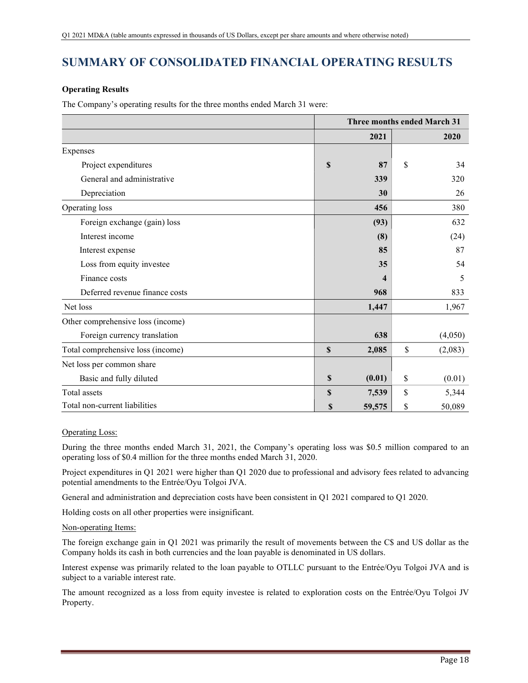# SUMMARY OF CONSOLIDATED FINANCIAL OPERATING RESULTS

## Operating Results

The Company's operating results for the three months ended March 31 were:

|                                   |             | Three months ended March 31 |              |         |  |  |
|-----------------------------------|-------------|-----------------------------|--------------|---------|--|--|
|                                   |             | 2021                        |              | 2020    |  |  |
| Expenses                          |             |                             |              |         |  |  |
| Project expenditures              | S           | 87                          | \$           | 34      |  |  |
| General and administrative        |             | 339                         |              | 320     |  |  |
| Depreciation                      |             | 30                          |              | 26      |  |  |
| Operating loss                    |             | 456                         |              | 380     |  |  |
| Foreign exchange (gain) loss      |             | (93)                        |              | 632     |  |  |
| Interest income                   |             | (8)                         |              | (24)    |  |  |
| Interest expense                  |             | 85                          |              | 87      |  |  |
| Loss from equity investee         |             | 35                          |              | 54      |  |  |
| Finance costs                     |             | 4                           |              | 5       |  |  |
| Deferred revenue finance costs    |             | 968                         |              | 833     |  |  |
| Net loss                          |             | 1,447                       |              | 1,967   |  |  |
| Other comprehensive loss (income) |             |                             |              |         |  |  |
| Foreign currency translation      |             | 638                         |              | (4,050) |  |  |
| Total comprehensive loss (income) | $\mathbf S$ | 2,085                       | $\mathbb{S}$ | (2,083) |  |  |
| Net loss per common share         |             |                             |              |         |  |  |
| Basic and fully diluted           | \$          | (0.01)                      | \$           | (0.01)  |  |  |
| Total assets                      | \$          | 7,539                       | \$           | 5,344   |  |  |
| Total non-current liabilities     | \$          | 59,575                      | \$           | 50,089  |  |  |

## Operating Loss:

During the three months ended March 31, 2021, the Company's operating loss was \$0.5 million compared to an operating loss of \$0.4 million for the three months ended March 31, 2020.

Project expenditures in Q1 2021 were higher than Q1 2020 due to professional and advisory fees related to advancing potential amendments to the Entrée/Oyu Tolgoi JVA.

General and administration and depreciation costs have been consistent in Q1 2021 compared to Q1 2020.

Holding costs on all other properties were insignificant.

#### Non-operating Items:

The foreign exchange gain in Q1 2021 was primarily the result of movements between the C\$ and US dollar as the Company holds its cash in both currencies and the loan payable is denominated in US dollars.

Interest expense was primarily related to the loan payable to OTLLC pursuant to the Entrée/Oyu Tolgoi JVA and is subject to a variable interest rate.

The amount recognized as a loss from equity investee is related to exploration costs on the Entrée/Oyu Tolgoi JV Property.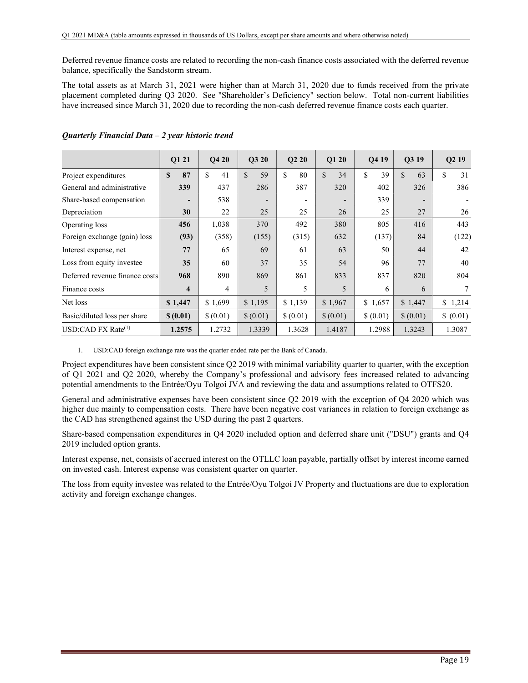Deferred revenue finance costs are related to recording the non-cash finance costs associated with the deferred revenue balance, specifically the Sandstorm stream.

The total assets as at March 31, 2021 were higher than at March 31, 2020 due to funds received from the private placement completed during Q3 2020. See "Shareholder's Deficiency" section below. Total non-current liabilities have increased since March 31, 2020 due to recording the non-cash deferred revenue finance costs each quarter.

|                                | Q1 21    | Q4 20               | Q3 20               | Q <sub>2</sub> 2 <sub>0</sub> | Q1 20               | Q4 19     | Q3 19              | Q <sub>2</sub> 19 |
|--------------------------------|----------|---------------------|---------------------|-------------------------------|---------------------|-----------|--------------------|-------------------|
| Project expenditures           | 87<br>S  | $\mathcal{S}$<br>41 | $\mathcal{S}$<br>59 | \$<br>80                      | $\mathcal{S}$<br>34 | \$<br>39  | $\mathbb{S}$<br>63 | \$<br>31          |
| General and administrative     | 339      | 437                 | 286                 | 387                           | 320                 | 402       | 326                | 386               |
| Share-based compensation       |          | 538                 |                     | $\overline{\phantom{a}}$      |                     | 339       |                    |                   |
| Depreciation                   | 30       | 22                  | 25                  | 25                            | 26                  | 25        | 27                 | 26                |
| Operating loss                 | 456      | 1,038               | 370                 | 492                           | 380                 | 805       | 416                | 443               |
| Foreign exchange (gain) loss   | (93)     | (358)               | (155)               | (315)                         | 632                 | (137)     | 84                 | (122)             |
| Interest expense, net          | 77       | 65                  | 69                  | 61                            | 63                  | 50        | 44                 | 42                |
| Loss from equity investee      | 35       | 60                  | 37                  | 35                            | 54                  | 96        | 77                 | 40                |
| Deferred revenue finance costs | 968      | 890                 | 869                 | 861                           | 833                 | 837       | 820                | 804               |
| Finance costs                  | 4        | 4                   | 5                   | 5                             | 5                   | 6         | 6                  | 7                 |
| Net loss                       | \$1,447  | \$1,699             | \$1,195             | \$1,139                       | \$1,967             | \$1,657   | \$1,447            | \$1,214           |
| Basic/diluted loss per share   | \$(0.01) | \$(0.01)            | \$ (0.01)           | \$(0.01)                      | \$ (0.01)           | \$ (0.01) | \$ (0.01)          | \$ (0.01)         |
| USD:CAD FX Rate $^{(1)}$       | 1.2575   | 1.2732              | 1.3339              | 1.3628                        | 1.4187              | 1.2988    | 1.3243             | 1.3087            |

#### Quarterly Financial Data – 2 year historic trend

1. USD:CAD foreign exchange rate was the quarter ended rate per the Bank of Canada.

Project expenditures have been consistent since Q2 2019 with minimal variability quarter to quarter, with the exception of Q1 2021 and Q2 2020, whereby the Company's professional and advisory fees increased related to advancing potential amendments to the Entrée/Oyu Tolgoi JVA and reviewing the data and assumptions related to OTFS20.

General and administrative expenses have been consistent since Q2 2019 with the exception of Q4 2020 which was higher due mainly to compensation costs. There have been negative cost variances in relation to foreign exchange as the CAD has strengthened against the USD during the past 2 quarters.

Share-based compensation expenditures in Q4 2020 included option and deferred share unit ("DSU") grants and Q4 2019 included option grants.

Interest expense, net, consists of accrued interest on the OTLLC loan payable, partially offset by interest income earned on invested cash. Interest expense was consistent quarter on quarter.

The loss from equity investee was related to the Entrée/Oyu Tolgoi JV Property and fluctuations are due to exploration activity and foreign exchange changes.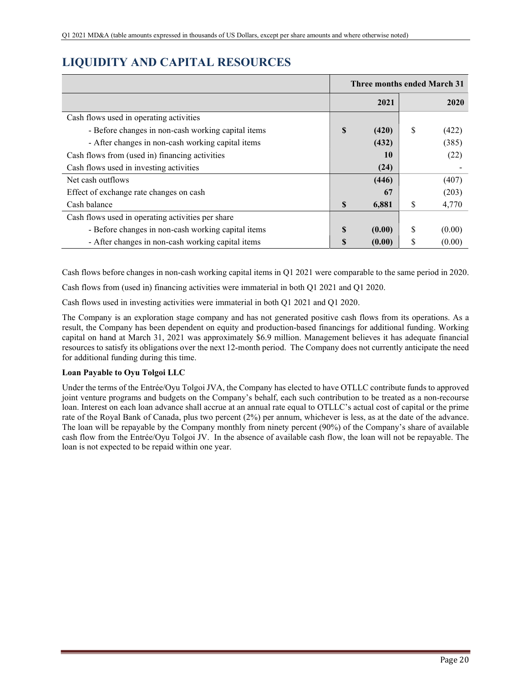# LIQUIDITY AND CAPITAL RESOURCES

|                                                    | Three months ended March 31 |        |    |        |
|----------------------------------------------------|-----------------------------|--------|----|--------|
|                                                    |                             | 2021   |    | 2020   |
| Cash flows used in operating activities            |                             |        |    |        |
| - Before changes in non-cash working capital items | S                           | (420)  | S  | (422)  |
| - After changes in non-cash working capital items  |                             | (432)  |    | (385)  |
| Cash flows from (used in) financing activities     |                             | 10     |    | (22)   |
| Cash flows used in investing activities            |                             | (24)   |    |        |
| Net cash outflows                                  |                             | (446)  |    | (407)  |
| Effect of exchange rate changes on cash            |                             | 67     |    | (203)  |
| Cash balance                                       | S                           | 6,881  | S  | 4,770  |
| Cash flows used in operating activities per share  |                             |        |    |        |
| - Before changes in non-cash working capital items | S                           | (0.00) | S  | (0.00) |
| - After changes in non-cash working capital items  | S                           | (0.00) | \$ | (0.00) |

Cash flows before changes in non-cash working capital items in Q1 2021 were comparable to the same period in 2020.

Cash flows from (used in) financing activities were immaterial in both Q1 2021 and Q1 2020.

Cash flows used in investing activities were immaterial in both Q1 2021 and Q1 2020.

The Company is an exploration stage company and has not generated positive cash flows from its operations. As a result, the Company has been dependent on equity and production-based financings for additional funding. Working capital on hand at March 31, 2021 was approximately \$6.9 million. Management believes it has adequate financial resources to satisfy its obligations over the next 12-month period. The Company does not currently anticipate the need for additional funding during this time.

## Loan Payable to Oyu Tolgoi LLC

Under the terms of the Entrée/Oyu Tolgoi JVA, the Company has elected to have OTLLC contribute funds to approved joint venture programs and budgets on the Company's behalf, each such contribution to be treated as a non-recourse loan. Interest on each loan advance shall accrue at an annual rate equal to OTLLC's actual cost of capital or the prime rate of the Royal Bank of Canada, plus two percent (2%) per annum, whichever is less, as at the date of the advance. The loan will be repayable by the Company monthly from ninety percent (90%) of the Company's share of available cash flow from the Entrée/Oyu Tolgoi JV. In the absence of available cash flow, the loan will not be repayable. The loan is not expected to be repaid within one year.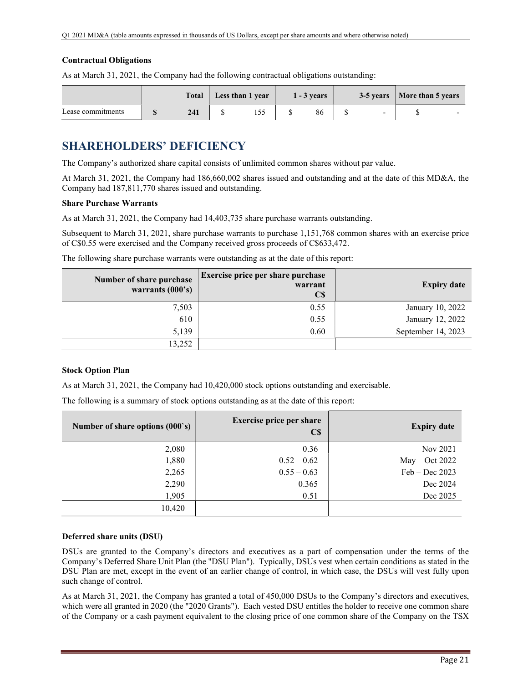## Contractual Obligations

As at March 31, 2021, the Company had the following contractual obligations outstanding:

|                   | <b>Total</b> | Less than 1 year | $1 - 3$ years |    | 3-5 years                | More than 5 years |  |
|-------------------|--------------|------------------|---------------|----|--------------------------|-------------------|--|
| Lease commitments | 241          |                  |               | 86 | $\overline{\phantom{0}}$ |                   |  |

# SHAREHOLDERS' DEFICIENCY

The Company's authorized share capital consists of unlimited common shares without par value.

At March 31, 2021, the Company had 186,660,002 shares issued and outstanding and at the date of this MD&A, the Company had 187,811,770 shares issued and outstanding.

#### Share Purchase Warrants

As at March 31, 2021, the Company had 14,403,735 share purchase warrants outstanding.

Subsequent to March 31, 2021, share purchase warrants to purchase 1,151,768 common shares with an exercise price of C\$0.55 were exercised and the Company received gross proceeds of C\$633,472.

The following share purchase warrants were outstanding as at the date of this report:

| Number of share purchase<br>warrants $(000's)$ | Exercise price per share purchase<br>warrant<br>$\mathbf{C}\mathbf{S}$ | <b>Expiry date</b> |
|------------------------------------------------|------------------------------------------------------------------------|--------------------|
| 7,503                                          | 0.55                                                                   | January 10, 2022   |
| 610                                            | 0.55                                                                   | January 12, 2022   |
| 5,139                                          | 0.60                                                                   | September 14, 2023 |
| 13,252                                         |                                                                        |                    |

## Stock Option Plan

As at March 31, 2021, the Company had 10,420,000 stock options outstanding and exercisable.

The following is a summary of stock options outstanding as at the date of this report:

| Number of share options (000's) | <b>Exercise price per share</b><br>$\mathbf{C}\mathbf{S}$ | <b>Expiry date</b> |
|---------------------------------|-----------------------------------------------------------|--------------------|
| 2,080                           | 0.36                                                      | Nov 2021           |
| 1,880                           | $0.52 - 0.62$                                             | $May - Oct 2022$   |
| 2,265                           | $0.55 - 0.63$                                             | $Feb - Dec 2023$   |
| 2,290                           | 0.365                                                     | Dec 2024           |
| 1,905                           | 0.51                                                      | Dec 2025           |
| 10,420                          |                                                           |                    |

#### Deferred share units (DSU)

DSUs are granted to the Company's directors and executives as a part of compensation under the terms of the Company's Deferred Share Unit Plan (the "DSU Plan"). Typically, DSUs vest when certain conditions as stated in the DSU Plan are met, except in the event of an earlier change of control, in which case, the DSUs will vest fully upon such change of control.

As at March 31, 2021, the Company has granted a total of 450,000 DSUs to the Company's directors and executives, which were all granted in 2020 (the "2020 Grants"). Each vested DSU entitles the holder to receive one common share of the Company or a cash payment equivalent to the closing price of one common share of the Company on the TSX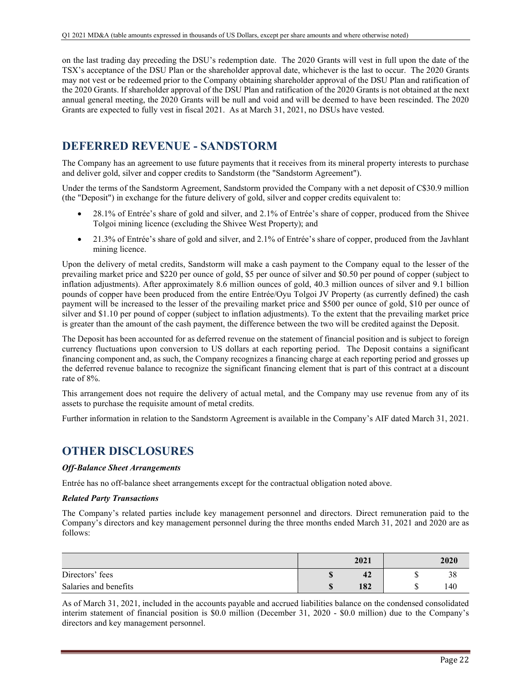on the last trading day preceding the DSU's redemption date. The 2020 Grants will vest in full upon the date of the TSX's acceptance of the DSU Plan or the shareholder approval date, whichever is the last to occur. The 2020 Grants may not vest or be redeemed prior to the Company obtaining shareholder approval of the DSU Plan and ratification of the 2020 Grants. If shareholder approval of the DSU Plan and ratification of the 2020 Grants is not obtained at the next annual general meeting, the 2020 Grants will be null and void and will be deemed to have been rescinded. The 2020 Grants are expected to fully vest in fiscal 2021. As at March 31, 2021, no DSUs have vested.

# DEFERRED REVENUE - SANDSTORM

The Company has an agreement to use future payments that it receives from its mineral property interests to purchase and deliver gold, silver and copper credits to Sandstorm (the "Sandstorm Agreement").

Under the terms of the Sandstorm Agreement, Sandstorm provided the Company with a net deposit of C\$30.9 million (the "Deposit") in exchange for the future delivery of gold, silver and copper credits equivalent to:

- 28.1% of Entrée's share of gold and silver, and 2.1% of Entrée's share of copper, produced from the Shivee Tolgoi mining licence (excluding the Shivee West Property); and
- 21.3% of Entrée's share of gold and silver, and 2.1% of Entrée's share of copper, produced from the Javhlant mining licence.

Upon the delivery of metal credits, Sandstorm will make a cash payment to the Company equal to the lesser of the prevailing market price and \$220 per ounce of gold, \$5 per ounce of silver and \$0.50 per pound of copper (subject to inflation adjustments). After approximately 8.6 million ounces of gold, 40.3 million ounces of silver and 9.1 billion pounds of copper have been produced from the entire Entrée/Oyu Tolgoi JV Property (as currently defined) the cash payment will be increased to the lesser of the prevailing market price and \$500 per ounce of gold, \$10 per ounce of silver and \$1.10 per pound of copper (subject to inflation adjustments). To the extent that the prevailing market price is greater than the amount of the cash payment, the difference between the two will be credited against the Deposit.

The Deposit has been accounted for as deferred revenue on the statement of financial position and is subject to foreign currency fluctuations upon conversion to US dollars at each reporting period. The Deposit contains a significant financing component and, as such, the Company recognizes a financing charge at each reporting period and grosses up the deferred revenue balance to recognize the significant financing element that is part of this contract at a discount rate of 8%.

This arrangement does not require the delivery of actual metal, and the Company may use revenue from any of its assets to purchase the requisite amount of metal credits.

Further information in relation to the Sandstorm Agreement is available in the Company's AIF dated March 31, 2021.

# OTHER DISCLOSURES

## Off-Balance Sheet Arrangements

Entrée has no off-balance sheet arrangements except for the contractual obligation noted above.

## Related Party Transactions

The Company's related parties include key management personnel and directors. Direct remuneration paid to the Company's directors and key management personnel during the three months ended March 31, 2021 and 2020 are as follows:

|                       |    | 2021 | 2020 |
|-----------------------|----|------|------|
| Directors' fees       | ٨D | 42   | C    |
| Salaries and benefits |    | 182  | 140  |

As of March 31, 2021, included in the accounts payable and accrued liabilities balance on the condensed consolidated interim statement of financial position is \$0.0 million (December 31, 2020 - \$0.0 million) due to the Company's directors and key management personnel.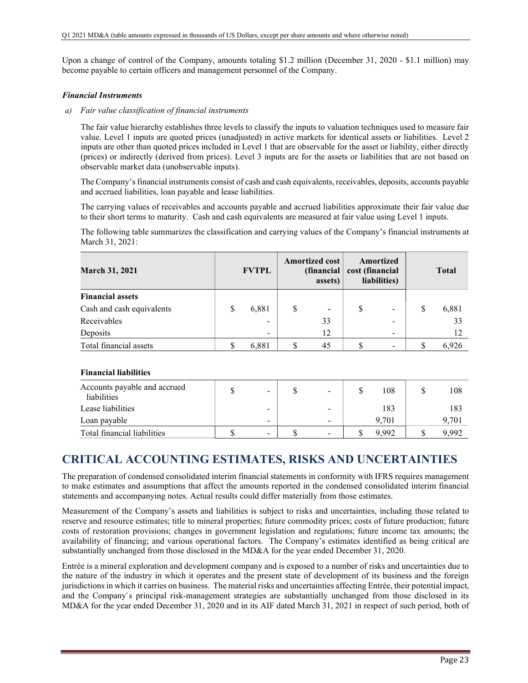Upon a change of control of the Company, amounts totaling \$1.2 million (December 31, 2020 - \$1.1 million) may become payable to certain officers and management personnel of the Company.

#### Financial Instruments

#### a) Fair value classification of financial instruments

The fair value hierarchy establishes three levels to classify the inputs to valuation techniques used to measure fair value. Level 1 inputs are quoted prices (unadjusted) in active markets for identical assets or liabilities. Level 2 inputs are other than quoted prices included in Level 1 that are observable for the asset or liability, either directly (prices) or indirectly (derived from prices). Level 3 inputs are for the assets or liabilities that are not based on observable market data (unobservable inputs).

The Company's financial instruments consist of cash and cash equivalents, receivables, deposits, accounts payable and accrued liabilities, loan payable and lease liabilities.

The carrying values of receivables and accounts payable and accrued liabilities approximate their fair value due to their short terms to maturity. Cash and cash equivalents are measured at fair value using Level 1 inputs.

The following table summarizes the classification and carrying values of the Company's financial instruments at March 31, 2021:

| <b>March 31, 2021</b>     |   | <b>FVTPL</b>                 |   | <b>Amortized cost</b><br>(financial<br>assets) | cost (financial | Amortized<br>liabilities) |   | <b>Total</b> |
|---------------------------|---|------------------------------|---|------------------------------------------------|-----------------|---------------------------|---|--------------|
| <b>Financial assets</b>   |   |                              |   |                                                |                 |                           |   |              |
| Cash and cash equivalents | S | 6,881                        | S | $\overline{\phantom{0}}$                       | S               |                           | S | 6,881        |
| Receivables               |   | $\qquad \qquad \blacksquare$ |   | 33                                             |                 | $\overline{\phantom{0}}$  |   | 33           |
| Deposits                  |   | -                            |   | 12                                             |                 | -                         |   | 12           |
| Total financial assets    |   | 6,881                        |   | 45                                             |                 |                           |   | 6,926        |

## Financial liabilities

| Accounts payable and accrued<br>liabilities | - | $\overline{\phantom{a}}$ | 108   | 108   |
|---------------------------------------------|---|--------------------------|-------|-------|
| Lease liabilities                           | - |                          | 183   | 183   |
| Loan payable                                | - | -                        | 9.701 | 9,701 |
| Total financial liabilities                 | - | $\overline{\phantom{0}}$ | 9.992 | 9.992 |

# CRITICAL ACCOUNTING ESTIMATES, RISKS AND UNCERTAINTIES

The preparation of condensed consolidated interim financial statements in conformity with IFRS requires management to make estimates and assumptions that affect the amounts reported in the condensed consolidated interim financial statements and accompanying notes. Actual results could differ materially from those estimates.

Measurement of the Company's assets and liabilities is subject to risks and uncertainties, including those related to reserve and resource estimates; title to mineral properties; future commodity prices; costs of future production; future costs of restoration provisions; changes in government legislation and regulations; future income tax amounts; the availability of financing; and various operational factors. The Company's estimates identified as being critical are substantially unchanged from those disclosed in the MD&A for the year ended December 31, 2020.

Entrée is a mineral exploration and development company and is exposed to a number of risks and uncertainties due to the nature of the industry in which it operates and the present state of development of its business and the foreign jurisdictions in which it carries on business. The material risks and uncertainties affecting Entrée, their potential impact, and the Company`s principal risk-management strategies are substantially unchanged from those disclosed in its MD&A for the year ended December 31, 2020 and in its AIF dated March 31, 2021 in respect of such period, both of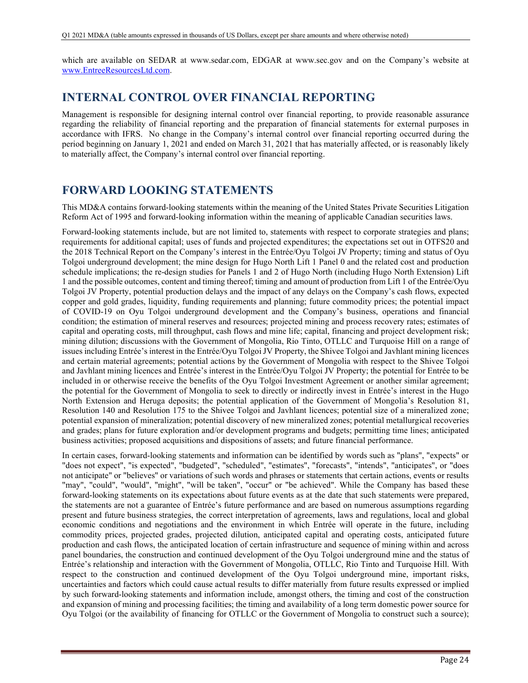which are available on SEDAR at www.sedar.com, EDGAR at www.sec.gov and on the Company's website at www.EntreeResourcesLtd.com.

# INTERNAL CONTROL OVER FINANCIAL REPORTING

Management is responsible for designing internal control over financial reporting, to provide reasonable assurance regarding the reliability of financial reporting and the preparation of financial statements for external purposes in accordance with IFRS. No change in the Company's internal control over financial reporting occurred during the period beginning on January 1, 2021 and ended on March 31, 2021 that has materially affected, or is reasonably likely to materially affect, the Company's internal control over financial reporting.

# FORWARD LOOKING STATEMENTS

This MD&A contains forward-looking statements within the meaning of the United States Private Securities Litigation Reform Act of 1995 and forward-looking information within the meaning of applicable Canadian securities laws.

Forward-looking statements include, but are not limited to, statements with respect to corporate strategies and plans; requirements for additional capital; uses of funds and projected expenditures; the expectations set out in OTFS20 and the 2018 Technical Report on the Company's interest in the Entrée/Oyu Tolgoi JV Property; timing and status of Oyu Tolgoi underground development; the mine design for Hugo North Lift 1 Panel 0 and the related cost and production schedule implications; the re-design studies for Panels 1 and 2 of Hugo North (including Hugo North Extension) Lift 1 and the possible outcomes, content and timing thereof; timing and amount of production from Lift 1 of the Entrée/Oyu Tolgoi JV Property, potential production delays and the impact of any delays on the Company's cash flows, expected copper and gold grades, liquidity, funding requirements and planning; future commodity prices; the potential impact of COVID-19 on Oyu Tolgoi underground development and the Company's business, operations and financial condition; the estimation of mineral reserves and resources; projected mining and process recovery rates; estimates of capital and operating costs, mill throughput, cash flows and mine life; capital, financing and project development risk; mining dilution; discussions with the Government of Mongolia, Rio Tinto, OTLLC and Turquoise Hill on a range of issues including Entrée's interest in the Entrée/Oyu Tolgoi JV Property, the Shivee Tolgoi and Javhlant mining licences and certain material agreements; potential actions by the Government of Mongolia with respect to the Shivee Tolgoi and Javhlant mining licences and Entrée's interest in the Entrée/Oyu Tolgoi JV Property; the potential for Entrée to be included in or otherwise receive the benefits of the Oyu Tolgoi Investment Agreement or another similar agreement; the potential for the Government of Mongolia to seek to directly or indirectly invest in Entrée's interest in the Hugo North Extension and Heruga deposits; the potential application of the Government of Mongolia's Resolution 81, Resolution 140 and Resolution 175 to the Shivee Tolgoi and Javhlant licences; potential size of a mineralized zone; potential expansion of mineralization; potential discovery of new mineralized zones; potential metallurgical recoveries and grades; plans for future exploration and/or development programs and budgets; permitting time lines; anticipated business activities; proposed acquisitions and dispositions of assets; and future financial performance.

In certain cases, forward-looking statements and information can be identified by words such as "plans", "expects" or "does not expect", "is expected", "budgeted", "scheduled", "estimates", "forecasts", "intends", "anticipates", or "does not anticipate" or "believes" or variations of such words and phrases or statements that certain actions, events or results "may", "could", "would", "might", "will be taken", "occur" or "be achieved". While the Company has based these forward-looking statements on its expectations about future events as at the date that such statements were prepared, the statements are not a guarantee of Entrée's future performance and are based on numerous assumptions regarding present and future business strategies, the correct interpretation of agreements, laws and regulations, local and global economic conditions and negotiations and the environment in which Entrée will operate in the future, including commodity prices, projected grades, projected dilution, anticipated capital and operating costs, anticipated future production and cash flows, the anticipated location of certain infrastructure and sequence of mining within and across panel boundaries, the construction and continued development of the Oyu Tolgoi underground mine and the status of Entrée's relationship and interaction with the Government of Mongolia, OTLLC, Rio Tinto and Turquoise Hill. With respect to the construction and continued development of the Oyu Tolgoi underground mine, important risks, uncertainties and factors which could cause actual results to differ materially from future results expressed or implied by such forward-looking statements and information include, amongst others, the timing and cost of the construction and expansion of mining and processing facilities; the timing and availability of a long term domestic power source for Oyu Tolgoi (or the availability of financing for OTLLC or the Government of Mongolia to construct such a source);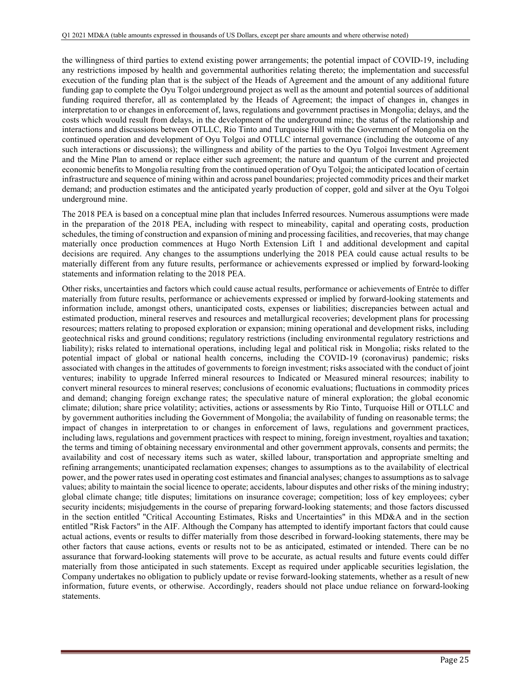the willingness of third parties to extend existing power arrangements; the potential impact of COVID-19, including any restrictions imposed by health and governmental authorities relating thereto; the implementation and successful execution of the funding plan that is the subject of the Heads of Agreement and the amount of any additional future funding gap to complete the Oyu Tolgoi underground project as well as the amount and potential sources of additional funding required therefor, all as contemplated by the Heads of Agreement; the impact of changes in, changes in interpretation to or changes in enforcement of, laws, regulations and government practises in Mongolia; delays, and the costs which would result from delays, in the development of the underground mine; the status of the relationship and interactions and discussions between OTLLC, Rio Tinto and Turquoise Hill with the Government of Mongolia on the continued operation and development of Oyu Tolgoi and OTLLC internal governance (including the outcome of any such interactions or discussions); the willingness and ability of the parties to the Oyu Tolgoi Investment Agreement and the Mine Plan to amend or replace either such agreement; the nature and quantum of the current and projected economic benefits to Mongolia resulting from the continued operation of Oyu Tolgoi; the anticipated location of certain infrastructure and sequence of mining within and across panel boundaries; projected commodity prices and their market demand; and production estimates and the anticipated yearly production of copper, gold and silver at the Oyu Tolgoi underground mine.

The 2018 PEA is based on a conceptual mine plan that includes Inferred resources. Numerous assumptions were made in the preparation of the 2018 PEA, including with respect to mineability, capital and operating costs, production schedules, the timing of construction and expansion of mining and processing facilities, and recoveries, that may change materially once production commences at Hugo North Extension Lift 1 and additional development and capital decisions are required. Any changes to the assumptions underlying the 2018 PEA could cause actual results to be materially different from any future results, performance or achievements expressed or implied by forward-looking statements and information relating to the 2018 PEA.

Other risks, uncertainties and factors which could cause actual results, performance or achievements of Entrée to differ materially from future results, performance or achievements expressed or implied by forward-looking statements and information include, amongst others, unanticipated costs, expenses or liabilities; discrepancies between actual and estimated production, mineral reserves and resources and metallurgical recoveries; development plans for processing resources; matters relating to proposed exploration or expansion; mining operational and development risks, including geotechnical risks and ground conditions; regulatory restrictions (including environmental regulatory restrictions and liability); risks related to international operations, including legal and political risk in Mongolia; risks related to the potential impact of global or national health concerns, including the COVID-19 (coronavirus) pandemic; risks associated with changes in the attitudes of governments to foreign investment; risks associated with the conduct of joint ventures; inability to upgrade Inferred mineral resources to Indicated or Measured mineral resources; inability to convert mineral resources to mineral reserves; conclusions of economic evaluations; fluctuations in commodity prices and demand; changing foreign exchange rates; the speculative nature of mineral exploration; the global economic climate; dilution; share price volatility; activities, actions or assessments by Rio Tinto, Turquoise Hill or OTLLC and by government authorities including the Government of Mongolia; the availability of funding on reasonable terms; the impact of changes in interpretation to or changes in enforcement of laws, regulations and government practices, including laws, regulations and government practices with respect to mining, foreign investment, royalties and taxation; the terms and timing of obtaining necessary environmental and other government approvals, consents and permits; the availability and cost of necessary items such as water, skilled labour, transportation and appropriate smelting and refining arrangements; unanticipated reclamation expenses; changes to assumptions as to the availability of electrical power, and the power rates used in operating cost estimates and financial analyses; changes to assumptions as to salvage values; ability to maintain the social licence to operate; accidents, labour disputes and other risks of the mining industry; global climate change; title disputes; limitations on insurance coverage; competition; loss of key employees; cyber security incidents; misjudgements in the course of preparing forward-looking statements; and those factors discussed in the section entitled "Critical Accounting Estimates, Risks and Uncertainties" in this MD&A and in the section entitled "Risk Factors" in the AIF. Although the Company has attempted to identify important factors that could cause actual actions, events or results to differ materially from those described in forward-looking statements, there may be other factors that cause actions, events or results not to be as anticipated, estimated or intended. There can be no assurance that forward-looking statements will prove to be accurate, as actual results and future events could differ materially from those anticipated in such statements. Except as required under applicable securities legislation, the Company undertakes no obligation to publicly update or revise forward-looking statements, whether as a result of new information, future events, or otherwise. Accordingly, readers should not place undue reliance on forward-looking statements.